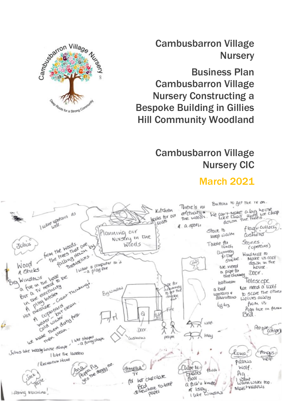

Cambusbarron Village **Nursery** 

Business Plan Cambusbarron Village Nursery Constructing a Bespoke Building in Gillies Hill Community Woodland

# Cambusbarron Village Nursery CIC

# March 2021

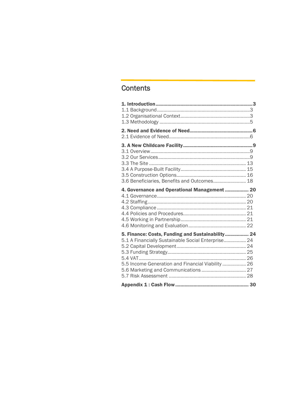# Contents

| 3.6 Beneficiaries, Benefits and Outcomes 18                                                                                                                 |  |
|-------------------------------------------------------------------------------------------------------------------------------------------------------------|--|
| 4. Governance and Operational Management  20                                                                                                                |  |
| 5. Finance: Costs, Funding and Sustainability 24<br>5.1 A Financially Sustainable Social Enterprise 24<br>5.5 Income Generation and Financial Viability  26 |  |
|                                                                                                                                                             |  |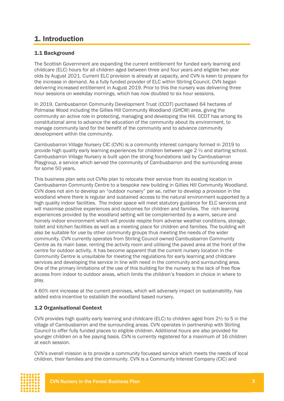# <span id="page-2-0"></span>1. Introduction

# <span id="page-2-1"></span>1.1 Background

The Scottish Government are expanding the current entitlement for funded early learning and childcare (ELC) hours for all children aged between three and four years and eligible two year olds by August 2021. Current ELC provision is already at capacity, and CVN is keen to prepare for the increase in demand. As a fully funded provider of ELC within Stirling Council, CVN began delivering increased entitlement in August 2019. Prior to this the nursery was delivering three hour sessions on weekday mornings, which has now doubled to six hour sessions.

In 2019, Cambusbarron Community Development Trust (CCDT) purchased 64 hectares of Polmaise Wood including the Gillies Hill Community Woodland (GHCW) area, giving the community an active role in protecting, managing and developing the Hill. CCDT has among its constitutional aims to advance the education of the community about its environment, to manage community land for the benefit of the community and to advance community development within the community.

Cambusbarron Village Nursery CIC (CVN) is a community interest company formed in 2019 to provide high quality early learning experiences for children between age 2 ½ and starting school. Cambusbarron Village Nursery is built upon the strong foundations laid by Cambusbarron Playgroup, a service which served the community of Cambusbarron and the surrounding areas for some 50 years.

This business plan sets out CVNs plan to relocate their service from its existing location in Cambusbarron Community Centre to a bespoke new building in Gillies Hill Community Woodland. CVN does not aim to develop an "outdoor nursery" per se, rather to develop a provision in the woodland where there is regular and sustained access to the natural environment supported by a high quality indoor facilities. The indoor space will meet statutory guidance for ELC services and will maximise positive experiences and outcomes for children and families. The rich learning experiences provided by the woodland setting will be complemented by a warm, secure and homely indoor environment which will provide respite from adverse weather conditions, storage, toilet and kitchen facilities as well as a meeting place for children and families. The building will also be suitable for use by other community groups thus meeting the needs of the wider community. CVN currently operates from Stirling Council owned Cambusbarron Community Centre as its main base, renting the activity room and utilising the paved area at the front of the centre for outdoor activity. It has become apparent that the current nursery location in the Community Centre is unsuitable for meeting the regulations for early learning and childcare services and developing the service in line with need in the community and surrounding area. One of the primary limitations of the use of this building for the nursery is the lack of free flow access from indoor to outdoor areas, which limits the children's freedom in choice in where to play.

A 60% rent increase at the current premises, which will adversely impact on sustainability, has added extra incentive to establish the woodland based nursery.

# <span id="page-2-2"></span>1.2 Organisational Context

CVN provides high quality early learning and childcare (ELC) to children aged from 2½ to 5 in the village of Cambusbarron and the surrounding areas. CVN operates in partnership with Stirling Council to offer fully funded places to eligible children. Additional hours are also provided for younger children on a fee paying basis. CVN is currently registered for a maximum of 16 children at each session.

CVN's overall mission is to provide a community focussed service which meets the needs of local children, their families and the community. CVN is a Community Interest Company (CIC) and

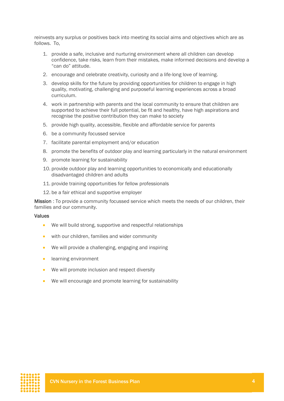reinvests any surplus or positives back into meeting its social aims and objectives which are as follows. To,

- 1. provide a safe, inclusive and nurturing environment where all children can develop confidence, take risks, learn from their mistakes, make informed decisions and develop a "can do" attitude.
- 2. encourage and celebrate creativity, curiosity and a life-long love of learning.
- 3. develop skills for the future by providing opportunities for children to engage in high quality, motivating, challenging and purposeful learning experiences across a broad curriculum.
- 4. work in partnership with parents and the local community to ensure that children are supported to achieve their full potential, be fit and healthy, have high aspirations and recognise the positive contribution they can make to society
- 5. provide high quality, accessible, flexible and affordable service for parents
- 6. be a community focussed service
- 7. facilitate parental employment and/or education
- 8. promote the benefits of outdoor play and learning particularly in the natural environment
- 9. promote learning for sustainability
- 10. provide outdoor play and learning opportunities to economically and educationally disadvantaged children and adults
- 11. provide training opportunities for fellow professionals
- 12. be a fair ethical and supportive employer

Mission : To provide a community focussed service which meets the needs of our children, their families and our community.

Values

- We will build strong, supportive and respectful relationships
- with our children, families and wider community
- We will provide a challenging, engaging and inspiring
- learning environment
- We will promote inclusion and respect diversity
- We will encourage and promote learning for sustainability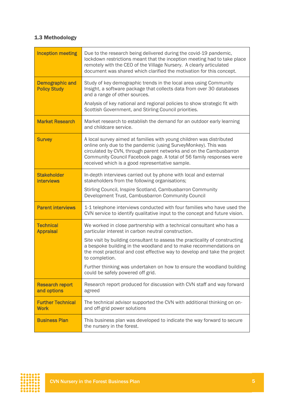# <span id="page-4-0"></span>1.3 Methodology

| <b>Inception meeting</b>                      | Due to the research being delivered during the covid-19 pandemic,<br>lockdown restrictions meant that the inception meeting had to take place<br>remotely with the CEO of the Village Nursery. A clearly articulated<br>document was shared which clarified the motivation for this concept.                                            |
|-----------------------------------------------|-----------------------------------------------------------------------------------------------------------------------------------------------------------------------------------------------------------------------------------------------------------------------------------------------------------------------------------------|
| <b>Demographic and</b><br><b>Policy Study</b> | Study of key demographic trends in the local area using Community<br>Insight, a software package that collects data from over 30 databases<br>and a range of other sources.                                                                                                                                                             |
|                                               | Analysis of key national and regional policies to show strategic fit with<br>Scottish Government, and Stirling Council priorities.                                                                                                                                                                                                      |
| <b>Market Research</b>                        | Market research to establish the demand for an outdoor early learning<br>and childcare service.                                                                                                                                                                                                                                         |
| <b>Survey</b>                                 | A local survey aimed at families with young children was distributed<br>online only due to the pandemic (using SurveyMonkey). This was<br>circulated by CVN, through parent networks and on the Cambusbarron<br>Community Council Facebook page. A total of 56 family responses were<br>received which is a good representative sample. |
| <b>Stakeholder</b><br><b>interviews</b>       | In-depth interviews carried out by phone with local and external<br>stakeholders from the following organisations;                                                                                                                                                                                                                      |
|                                               | Stirling Council, Inspire Scotland, Cambusbarron Community<br>Development Trust, Cambusbarron Community Council                                                                                                                                                                                                                         |
| <b>Parent interviews</b>                      | 1-1 telephone interviews conducted with four families who have used the<br>CVN service to identify qualitative input to the concept and future vision.                                                                                                                                                                                  |
| <b>Technical</b><br><b>Appraisal</b>          | We worked in close partnership with a technical consultant who has a<br>particular interest in carbon neutral construction.                                                                                                                                                                                                             |
|                                               | Site visit by building consultant to assess the practicality of constructing<br>a bespoke building in the woodland and to make recommendations on<br>the most practical and cost effective way to develop and take the project<br>to completion.                                                                                        |
|                                               | Further thinking was undertaken on how to ensure the woodland building<br>could be safely powered off grid.                                                                                                                                                                                                                             |
| <b>Research report</b><br>and options         | Research report produced for discussion with CVN staff and way forward<br>agreed                                                                                                                                                                                                                                                        |
| <b>Further Technical</b><br><b>Work</b>       | The technical advisor supported the CVN with additional thinking on on-<br>and off-grid power solutions                                                                                                                                                                                                                                 |
| <b>Business Plan</b>                          | This business plan was developed to indicate the way forward to secure<br>the nursery in the forest.                                                                                                                                                                                                                                    |

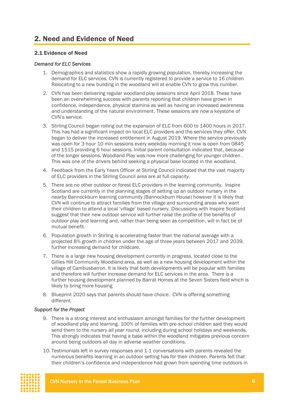# <span id="page-5-0"></span>2. Need and Evidence of Need

# <span id="page-5-1"></span>2.1 Evidence of Need

## *Demand for ELC Services*

- 1. Demographics and statistics show a rapidly growing population, thereby increasing the demand for ELC services. CVN is currently registered to provide a service to 16 children Relocating to a new building in the woodland will at enable CVN to grow this number.
- 2. CVN has been delivering regular woodland play sessions since April 2018. These have been an overwhelming success with parents reporting that children have grown in confidence, independence, physical stamina as well as having an increased awareness and understanding of the natural environment. These sessions are now a keystone of CVN's service.
- 3. Stirling Council began rolling out the expansion of ELC from 600 to 1400 hours in 2017. This has had a significant impact on local ELC providers and the services they offer. CVN began to deliver the increased entitlement in August 2019. Where the service previously was open for 3 hour 10 min sessions every weekday morning it now is open from 0845 and 1515 providing 6 hour sessions. Initial parent consultation indicated that, because of the longer sessions, Woodland Play was now more challenging for younger children . This was one of the drivers behind seeking a physical base located in the woodland.
- 4. Feedback from the Early Years Officer at Stirling Council indicated that the vast majority of ELC providers in the Stirling Council area are at full capacity.
- 5. There are no other outdoor or forest ELC providers in the learning community. Inspire Scotland are currently in the planning stages of setting up an outdoor nursery in the nearby Bannockburn learning community (Bannockburn House) however it is likely that CVN will continue to attract families from the village and surrounding areas who want their children to attend a local 'village' based nursery. Discussions with Inspire Scotland suggest that their new outdoor service will further raise the profile of the benefits of outdoor play and learning and, rather than being seen as competition, will in fact be of mutual benefit.
- 6. Population growth in Stirling is accelerating faster than the national average with a projected 8% growth in children under the age of three years between 2017 and 2039, further increasing demand for childcare.
- 7. There is a large new housing development currently in progress, located close to the Gillies Hill Community Woodland area, as well as a new housing development within the village of Cambusbarron. It is likely that both developments will be popular with families and therefore will further increase demand for ELC services in the area. There is a further housing development planned by Barrat Homes at the Seven Sisters field which is likely to bring more housing
- 8. Blueprint 2020 says that parents should have choice. CVN is offering something different.

## *Support for the Project*

- 9. There is a strong interest and enthusiasm amongst families for the further development of woodland play and learning. 100% of families with pre-school children said they would send them to the nursery *all year round*, including during school holidays and weekends. This strongly indicates that having a base within the woodland mitigates previous concern around being outdoors all day in adverse weather conditions.
- 10. Testimonials left in survey responses and 1-1 conversations with parents revealed the numerous benefits learning in an outdoor setting has for their children. Parents felt that their children's confidence and independence had grown from spending time outdoors in

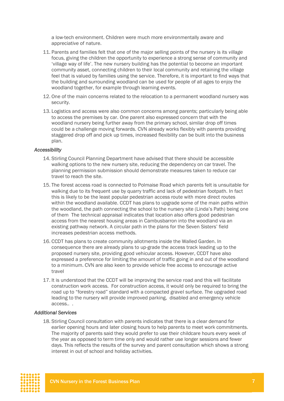a low-tech environment. Children were much more environmentally aware and appreciative of nature.

- 11. Parents and families felt that one of the major selling points of the nursery is its *village*  focus, giving the children the opportunity to experience a strong sense of community and 'village way of life'. The new nursery building has the potential to become an important community asset, connecting children to their local community and retaining the village feel that is valued by families using the service. Therefore, it is important to find ways that the building and surrounding woodland can be used for people of all ages to enjoy the woodland together, for example through learning events.
- 12. One of the main concerns related to the relocation to a permanent woodland nursery was security.
- 13. Logistics and access were also common concerns among parents; particularly being able to access the premises by car. One parent also expressed concern that with the woodland nursery being further away from the primary school, similar drop off times could be a challenge moving forwards. CVN already works flexibly with parents providing staggered drop off and pick up times, increased flexibility can be built into the business plan.

#### *Accessibility*

- 14. Stirling Council Planning Department have advised that there should be accessible walking options to the new nursery site, reducing the dependency on car travel. The planning permission submission should demonstrate measures taken to reduce car travel to reach the site.
- 15. The forest access road is connected to Polmaise Road which parents felt is unsuitable for walking due to its frequent use by quarry traffic and lack of pedestrian footpath. In fact this is likely to be the least popular pedestrian access route with more direct routes within the woodland available. CCDT has plans to upgrade some of the main paths within the woodland, the path connecting the school to the nursery site (Linda's Path) being one of them The technical appraisal indicates that location also offers good pedestrian access from the nearest housing areas in Cambusbarron into the woodland via an existing pathway network. A circular path in the plans for the Seven Sisters' field increases pedestrian access methods.
- 16. CCDT has plans to create community allotments inside the Walled Garden. In consequence there are already plans to up-grade the access track leading up to the proposed nursery site, providing good vehicular access. However, CCDT have also expressed a preference for limiting the amount of traffic going in and out of the woodland to a minimum. CVN are also keen to provide vehicle free access to encourage active travel
- 17. It is understood that the CCDT will be improving the service road and this will facilitate construction work access. For construction access, it would only be required to bring the road up to "forestry road" standard with a compacted gravel surface. The upgraded road leading to the nursery will provide improved parking, disabled and emergency vehicle access.. .

#### *Additional Services*

18. Stirling Council consultation with parents indicates that there is a clear demand for earlier opening hours and later closing hours to help parents to meet work commitments. The majority of parents said they would prefer to use their childcare hours every week of the year as opposed to term time only and would rather use longer sessions and fewer days. This reflects the results of the survey and parent consultation which shows a strong interest in out of school and holiday activities.

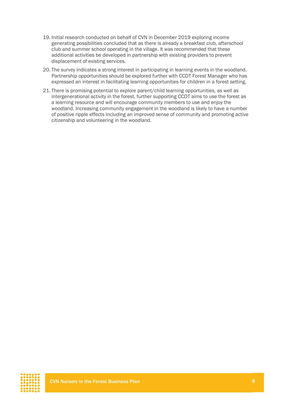- 19. Initial research conducted on behalf of CVN in December 2019 exploring income generating possibilities concluded that as there is already a breakfast club, afterschool club and summer school operating in the village. It was recommended that these additional activities be developed in partnership with existing providers to prevent displacement of existing services.
- 20. The survey indicates a strong interest in participating in learning events in the woodland. Partnership opportunities should be explored further with CCDT Forest Manager who has expressed an interest in facilitating learning opportunities for children in a forest setting.
- 21. There is promising potential to explore parent/child learning opportunities, as well as intergenerational activity in the forest, further supporting CCDT aims to use the forest as a learning resource and will encourage community members to use and enjoy the woodland. Increasing community engagement in the woodland is likely to have a number of positive ripple effects including an improved sense of community and promoting active citizenship and volunteering in the woodland.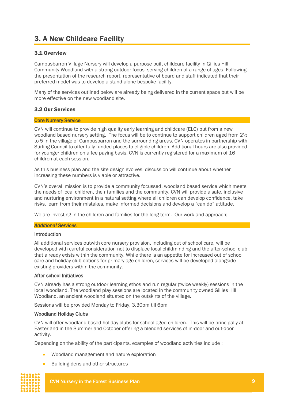# <span id="page-8-0"></span>3. A New Childcare Facility

# <span id="page-8-1"></span>3.1 Overview

Cambusbarron Village Nursery will develop a purpose built childcare facility in Gillies Hill Community Woodland with a strong outdoor focus, serving children of a range of ages. Following the presentation of the research report, representative of board and staff indicated that their preferred model was to develop a stand-alone bespoke facility.

Many of the services outlined below are already being delivered in the current space but will be more effective on the new woodland site.

## <span id="page-8-2"></span>3.2 Our Services

#### Core Nursery Service

CVN will continue to provide high quality early learning and childcare (ELC) but from a new woodland based nursery setting. The focus will be to continue to support children aged from 2½ to 5 in the village of Cambusbarron and the surrounding areas. CVN operates in partnership with Stirling Council to offer fully funded places to eligible children. Additional hours are also provided for younger children on a fee paying basis. CVN is currently registered for a maximum of 16 children at each session.

As this business plan and the site design evolves, discussion will continue about whether increasing these numbers is viable or attractive.

CVN's overall mission is to provide a community focussed, woodland based service which meets the needs of local children, their families and the community. CVN will provide a safe, inclusive and nurturing environment in a natural setting where all children can develop confidence, take risks, learn from their mistakes, make informed decisions and develop a "can do" attitude.

We are investing in the children and families for the long term. Our work and approach;

#### *Additional Services*

#### **Introduction**

All additional services outwith core nursery provision, including out of school care, will be developed with careful consideration not to displace local childminding and the after-school club that already exists within the community. While there is an appetite for increased out of school care and holiday club options for primary age children, services will be developed alongside existing providers within the community.

#### After school Initiatives

CVN already has a strong outdoor learning ethos and run regular (twice weekly) sessions in the local woodland. The woodland play sessions are located in the community owned Gillies Hill Woodland, an ancient woodland situated on the outskirts of the village.

Sessions will be provided Monday to Friday, 3.30pm till 6pm

#### Woodland Holiday Clubs

CVN will offer woodland based holiday clubs for school aged children. This will be principally at Easter and in the Summer and October offering a blended services of in-door and out-door activity.

Depending on the ability of the participants, examples of woodland activities include ;

- Woodland management and nature exploration
- Building dens and other structures



CVN Nursery in the Forest Business Plan 9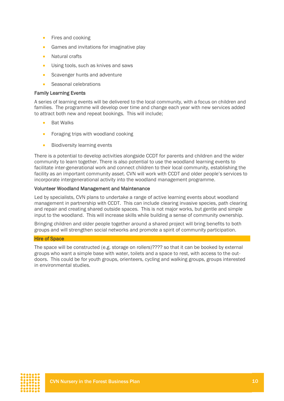- Fires and cooking
- Games and invitations for imaginative play
- Natural crafts
- Using tools, such as knives and saws
- Scavenger hunts and adventure
- Seasonal celebrations

#### Family Learning Events

A series of learning events will be delivered to the local community, with a focus on children and families. The programme will develop over time and change each year with new services added to attract both new and repeat bookings. This will include;

- Bat Walks
- Foraging trips with woodland cooking
- Biodiversity learning events

There is a potential to develop activities alongside CCDT for parents and children and the wider community to learn together. There is also potential to use the woodland learning events to facilitate inter-generational work and connect children to their local community, establishing the facility as an important community asset. CVN will work with CCDT and older people's services to incorporate intergenerational activity into the woodland management programme.

#### Volunteer Woodland Management and Maintenance

Led by specialists, CVN plans to undertake a range of active learning events about woodland management in partnership with CCDT. This can include clearing invasive species, path clearing and repair and creating shared outside spaces. This is not major works, but gentle and simple input to the woodland. This will increase skills while building a sense of community ownership.

Bringing children and older people together around a shared project will bring benefits to both groups and will strengthen social networks and promote a spirit of community participation.

#### **Hire of Space**

The space will be constructed (e.g. storage on rollers)???? so that it can be booked by external groups who want a simple base with water, toilets and a space to rest, with access to the outdoors. This could be for youth groups, orienteers, cycling and walking groups, groups interested in environmental studies.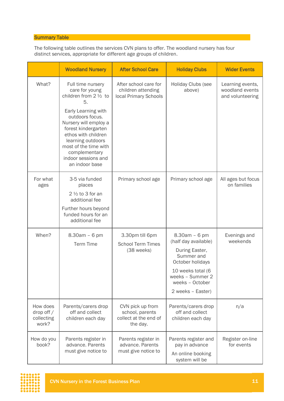### **Summary Table**

The following table outlines the services CVN plans to offer. The woodland nursery has four distinct services, appropriate for different age groups of children.

|                                                 | <b>Woodland Nursery</b>                                                                                                                                                                                                                                                                      | <b>After School Care</b>                                                 | <b>Holiday Clubs</b>                                                                                                                                                         | <b>Wider Events</b>                                     |
|-------------------------------------------------|----------------------------------------------------------------------------------------------------------------------------------------------------------------------------------------------------------------------------------------------------------------------------------------------|--------------------------------------------------------------------------|------------------------------------------------------------------------------------------------------------------------------------------------------------------------------|---------------------------------------------------------|
| What?                                           | Full time nursery<br>care for young<br>children from 2 1/2 to<br>5.<br>Early Learning with<br>outdoors focus.<br>Nursery will employ a<br>forest kindergarten<br>ethos with children<br>learning outdoors<br>most of the time with<br>complementary<br>indoor sessions and<br>an indoor base | After school care for<br>children attending<br>local Primary Schools     | Holiday Clubs (see<br>above)                                                                                                                                                 | Learning events,<br>woodland events<br>and volunteering |
| For what<br>ages                                | 3-5 via funded<br>places<br>$2\frac{1}{2}$ to 3 for an<br>additional fee<br>Further hours beyond<br>funded hours for an<br>additional fee                                                                                                                                                    | Primary school age                                                       | Primary school age                                                                                                                                                           | All ages but focus<br>on families                       |
| When?                                           | 8.30am - 6 pm<br><b>Term Time</b>                                                                                                                                                                                                                                                            | 3.30pm till 6pm<br><b>School Term Times</b><br>(38 weeks)                | $8.30am - 6 pm$<br>(half day available)<br>During Easter,<br>Summer and<br>October holidays<br>10 weeks total (6<br>weeks - Summer 2<br>weeks - October<br>2 weeks - Easter) | Evenings and<br>weekends                                |
| How does<br>drop off $/$<br>collecting<br>work? | Parents/carers drop<br>off and collect<br>children each day                                                                                                                                                                                                                                  | CVN pick up from<br>school, parents<br>collect at the end of<br>the day. | Parents/carers drop<br>off and collect<br>children each day                                                                                                                  | n/a                                                     |
| How do you<br>book?                             | Parents register in<br>advance. Parents<br>must give notice to                                                                                                                                                                                                                               | Parents register in<br>advance, Parents<br>must give notice to           | Parents register and<br>pay in advance<br>An online booking<br>system will be                                                                                                | Register on-line<br>for events                          |

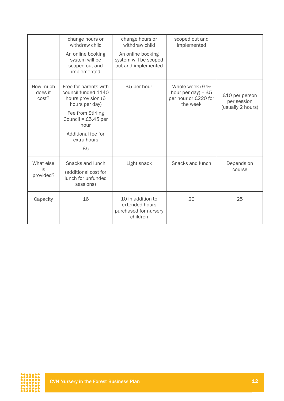|                              | change hours or<br>withdraw child<br>An online booking<br>system will be<br>scoped out and<br>implemented                                                                             | change hours or<br>withdraw child<br>An online booking<br>system will be scoped<br>out and implemented | scoped out and<br>implemented                                                           |                                                    |
|------------------------------|---------------------------------------------------------------------------------------------------------------------------------------------------------------------------------------|--------------------------------------------------------------------------------------------------------|-----------------------------------------------------------------------------------------|----------------------------------------------------|
| How much<br>does it<br>cost? | Free for parents with<br>council funded 1140<br>hours provision (6<br>hours per day)<br>Fee from Stirling<br>Council = $£5.45$ per<br>hour<br>Additional fee for<br>extra hours<br>£5 | £5 per hour                                                                                            | Whole week $(9\frac{1}{2})$<br>hour per day) $- £5$<br>per hour or £220 for<br>the week | £10 per person<br>per session<br>(usually 2 hours) |
| What else<br>is<br>provided? | Snacks and lunch<br>(additional cost for<br>lunch for unfunded<br>sessions)                                                                                                           | Light snack                                                                                            | Snacks and lunch                                                                        | Depends on<br>course                               |
| Capacity                     | 16                                                                                                                                                                                    | 10 in addition to<br>extended hours<br>purchased for nursery<br>children                               | 20                                                                                      | 25                                                 |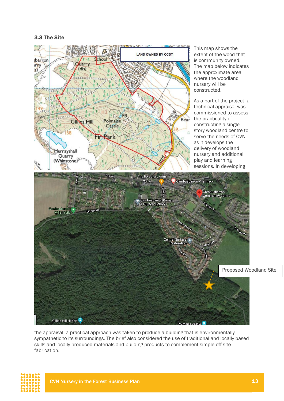### <span id="page-12-0"></span>3.3 The Site



the appraisal, a practical approach was taken to produce a building that is environmentally sympathetic to its surroundings. The brief also considered the use of traditional and locally based skills and locally produced materials and building products to complement simple off site fabrication.

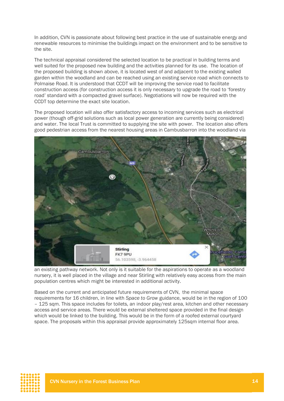In addition, CVN is passionate about following best practice in the use of sustainable energy and renewable resources to minimise the buildings impact on the environment and to be sensitive to the site.

The technical appraisal considered the selected location to be practical in building terms and well suited for the proposed new building and the activities planned for its use. The location of the proposed building is shown above, it is located west of and adjacent to the existing walled garden within the woodland and can be reached using an existing service road which connects to Polmaise Road. It is understood that CCDT will be improving the service road to facilitate construction access (for construction access it is only necessary to upgrade the road to 'forestry road' standard with a compacted gravel surface). Negotiations will now be required with the CCDT top determine the exact site location.

The proposed location will also offer satisfactory access to incoming services such as electrical power (though off-grid solutions such as local power generation are currently being considered) and water. The local Trust is committed to supplying the site with power. The location also offers good pedestrian access from the nearest housing areas in Cambusbarron into the woodland via



an existing pathway network. Not only is it suitable for the aspirations to operate as a woodland nursery, it is well placed in the village and near Stirling with relatively easy access from the main population centres which might be interested in additional activity.

Based on the current and anticipated future requirements of CVN, the minimal space requirements for 16 children, in line with *Space to Grow* guidance, would be in the region of 100 – 125 sqm. This space includes for toilets, an indoor play/rest area, kitchen and other necessary access and service areas. There would be external sheltered space provided in the final design which would be linked to the building. This would be in the form of a roofed external courtyard space. The proposals within this appraisal provide approximately 125sqm internal floor area.

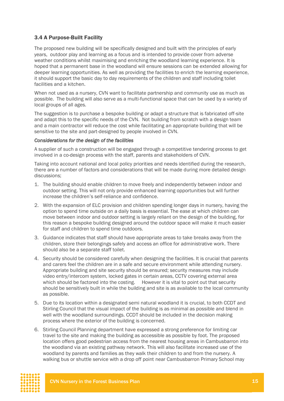# <span id="page-14-0"></span>3.4 A Purpose-Built Facility

The proposed new building will be specifically designed and built with the principles of early years, outdoor play and learning as a focus and is intended to provide cover from adverse weather conditions whilst maximising and enriching the woodland learning experience. It is hoped that a permanent base in the woodland will ensure sessions can be extended allowing for deeper learning opportunities. As well as providing the facilities to enrich the learning experience, it should support the basic day to day requirements of the children and staff including toilet facilities and a kitchen.

When not used as a nursery, CVN want to facilitate partnership and community use as much as possible. The building will also serve as a multi-functional space that can be used by a variety of local groups of all ages.

The suggestion is to purchase a bespoke building or adapt a structure that is fabricated off-site and adapt this to the specific needs of the CVN. Not building from scratch with a design team and a main contractor will reduce the cost while facilitating an appropriate building that will be sensitive to the site and part-designed by people involved in CVN.

### *Considerations for the design of the facilities*

A supplier of such a construction will be engaged through a competitive tendering process to get involved in a co-design process with the staff, parents and stakeholders of CVN.

Taking into account national and local policy priorities and needs identified during the research, there are a number of factors and considerations that will be made during more detailed design discussions;

- 1. The building should enable children to move freely and independently between indoor and outdoor setting. This will not only provide enhanced learning opportunities but will further increase the children's self-reliance and confidence.
- 2. With the expansion of ELC provision and children spending longer days in nursery, having the option to spend time outside on a daily basis is essential. The ease at which children can move between indoor and outdoor setting is largely reliant on the design of the building, for this reason a bespoke building designed around the outdoor space will make it much easier for staff and children to spend time outdoors.
- 3. Guidance indicates that staff should have appropriate areas to take breaks away from the children, store their belongings safely and access an office for administrative work. There should also be a separate staff toilet.
- 4. Security should be considered carefully when designing the facilities. It is crucial that parents and carers feel the children are in a safe and secure environment while attending nursery. Appropriate building and site security should be ensured; security measures may include video entry/intercom system, locked gates in certain areas, CCTV covering external area which should be factored into the costing. However it is vital to point out that security should be sensitively built in while the building and site is as available to the local community as possible.
- 5. Due to its location within a designated semi natural woodland it is crucial, to both CCDT and Stirling Council that the visual impact of the building is as minimal as possible and blend in well with the woodland surroundings. CCDT should be included in the decision making process where the exterior of the building is concerned.
- 6. Stirling Council Planning department have expressed a strong preference for limiting car travel to the site and making the building as accessible as possible by foot. The proposed location offers good pedestrian access from the nearest housing areas in Cambusbarron into the woodland via an existing pathway network. This will also facilitate increased use of the woodland by parents and families as they walk their children to and from the nursery. A walking bus or shuttle service with a drop off point near Cambusbarron Primary School may

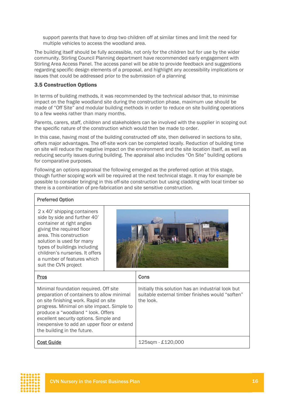support parents that have to drop two children off at similar times and limit the need for multiple vehicles to access the woodland area.

The building itself should be fully accessible, not only for the children but for use by the wider community. Stirling Council Planning department have recommended early engagement with Stirling Area Access Panel. The access panel will be able to provide feedback and suggestions regarding specific design elements of a proposal, and highlight any accessibility implications or issues that could be addressed prior to the submission of a planning

# <span id="page-15-0"></span>3.5 Construction Options

In terms of building methods, it was recommended by the technical advisor that, to minimise impact on the fragile woodland site during the construction phase, maximum use should be made of "Off Site" and modular building methods in order to reduce on site building operations to a few weeks rather than many months.

Parents, carers, staff, children and stakeholders can be involved with the supplier in scoping out the specific nature of the construction which would then be made to order.

In this case, having most of the building constructed off site, then delivered in sections to site, offers major advantages. The off-site work can be completed locally. Reduction of building time on site will reduce the negative impact on the environment and the site location itself, as well as reducing security issues during building. The appraisal also includes "On Site" building options for comparative purposes.

Following an options appraisal the following emerged as the preferred option at this stage, though further scoping work will be required at the next technical stage. It may for example be possible to consider bringing in this off-site construction but using cladding with local timber so there is a combination of pre-fabrication and site sensitive construction.

#### Preferred Option 2 x 40' shipping containers side by side and further 40' container at right angles giving the required floor area. This construction solution is used for many types of buildings including children's nurseries. It offers a number of features which suit the CVN project Pros and Constant of the Constant of the Constant of the Constant of the Constant of the Constant of the Const Minimal foundation required. Off site preparation of containers to allow minimal on site finishing work. Rapid on site progress. Minimal on site impact. Simple to produce a "woodland " look. Offers excellent security options. Simple and inexpensive to add an upper floor or extend the building in the future. Initially this solution has an industrial look but suitable external timber finishes would "soften" the look.



**Cost Guide 125sqm - £120,000**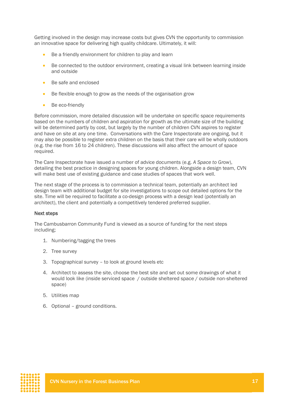Getting involved in the design may increase costs but gives CVN the opportunity to commission an innovative space for delivering high quality childcare. Ultimately, it will:

- Be a friendly environment for children to play and learn
- Be connected to the outdoor environment, creating a visual link between learning inside and outside
- Be safe and enclosed
- Be flexible enough to grow as the needs of the organisation grow
- Be eco-friendly

Before commission, more detailed discussion will be undertake on specific space requirements based on the numbers of children and aspiration for growth as the ultimate size of the building will be determined partly by cost, but largely by the number of children CVN aspires to register and have on site at any one time. Conversations with the Care Inspectorate are ongoing, but it may also be possible to register extra children on the basis that their care will be wholly outdoors (e.g. the rise from 16 to 24 children). These discussions will also affect the amount of space required.

The Care Inspectorate have issued a number of advice documents (e.g. *A Space to Grow*), detailing the best practice in designing spaces for young children. Alongside a design team, CVN will make best use of existing guidance and case studies of spaces that work well.

The next stage of the process is to commission a technical team, potentially an architect led design team with additional budget for site investigations to scope out detailed options for the site. Time will be required to facilitate a co-design process with a design lead (potentially an architect), the client and potentially a competitively tendered preferred supplier.

## Next steps

The Cambusbarron Community Fund is viewed as a source of funding for the next steps including;

- 1. Numbering/tagging the trees
- 2. Tree survey
- 3. Topographical survey to look at ground levels etc
- 4. Architect to assess the site, choose the best site and set out some drawings of what it would look like (inside serviced space / outside sheltered space / outside non-sheltered space)
- 5. Utilities map
- 6. Optional ground conditions.

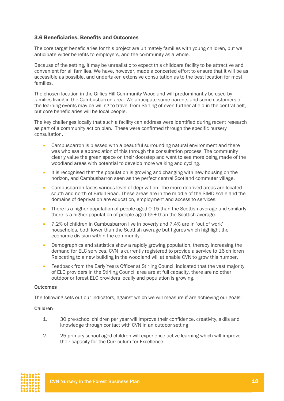# <span id="page-17-0"></span>3.6 Beneficiaries, Benefits and Outcomes

The core target beneficiaries for this project are ultimately families with young children, but we anticipate wider benefits to employers, and the community as a whole.

Because of the setting, it may be unrealistic to expect this childcare facility to be attractive and convenient for all families. We have, however, made a concerted effort to ensure that it will be as accessible as possible, and undertaken extensive consultation as to the best location for most families.

The chosen location in the Gillies Hill Community Woodland will predominantly be used by families living in the Cambusbarron area. We anticipate some parents and some customers of the learning events may be willing to travel from Stirling of even further afield in the central belt, but core beneficiaries will be local people.

The key challenges locally that such a facility can address were identified during recent research as part of a community action plan. These were confirmed through the specific nursery consultation.

- Cambusbarron is blessed with a beautiful surrounding natural environment and there was wholesale appreciation of this through the consultation process. The community clearly value the green space on their doorstep and want to see more being made of the woodland areas with potential to develop more walking and cycling.
- It is recognised that the population is growing and changing with new housing on the horizon, and Cambusbarron seen as the perfect central Scotland commuter village.
- Cambusbarron faces various level of deprivation. The more deprived areas are located south and north of Birkill Road. These areas are in the middle of the SIMD scale and the domains of deprivation are education, employment and access to services.
- There is a higher population of people aged 0-15 than the Scottish average and similarly there is a higher population of people aged 65+ than the Scottish average.
- 7.2% of children in Cambusbarron live in poverty and 7.4% are in 'out of work' households, both lower than the Scottish average but figures which highlight the economic division within the community.
- Demographics and statistics show a rapidly growing population, thereby increasing the demand for ELC services. CVN is currently registered to provide a service to 16 children Relocating to a new building in the woodland will at enable CVN to grow this number.
- Feedback from the Early Years Officer at Stirling Council indicated that the vast majority of ELC providers in the Stirling Council area are at full capacity, there are no other outdoor or forest ELC providers locally and population is growing.

#### **Outcomes**

The following sets out our indicators, against which we will measure if are achieving our goals;

#### Children

- 1. 30 pre-school children per year will improve their confidence, creativity, skills and knowledge through contact with CVN in an outdoor setting
- 2. 25 primary school aged children will experience active learning which will improve their capacity for the Curriculum for Excellence.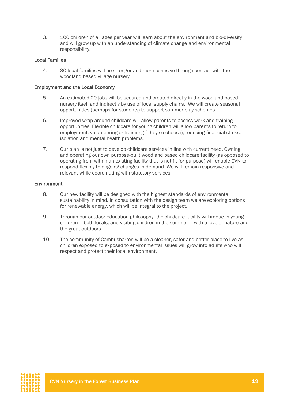3. 100 children of all ages per year will learn about the environment and bio-diversity and will grow up with an understanding of climate change and environmental responsibility.

### Local Families

4. 30 local families will be stronger and more cohesive through contact with the woodland based village nursery

### Employment and the Local Economy

- 5. An estimated 20 jobs will be secured and created directly in the woodland based nursery itself and indirectly by use of local supply chains. We will create seasonal opportunities (perhaps for students) to support summer play schemes.
- 6. Improved wrap around childcare will allow parents to access work and training opportunities. Flexible childcare for young children will allow parents to return to employment, volunteering or training (if they so choose), reducing financial stress, isolation and mental health problems.
- 7. Our plan is not just to develop childcare services in line with current need. Owning and operating our own purpose-built woodland based childcare facility (as opposed to operating from within an existing facility that is not fit for purpose) will enable CVN to respond flexibly to ongoing changes in demand. We will remain responsive and relevant while coordinating with statutory services

### **Environment**

- 8. Our new facility will be designed with the highest standards of environmental sustainability in mind. In consultation with the design team we are exploring options for renewable energy, which will be integral to the project.
- 9. Through our outdoor education philosophy, the childcare facility will imbue in young children – both locals, and visiting children in the summer – with a love of nature and the great outdoors.
- 10. The community of Cambusbarron will be a cleaner, safer and better place to live as children exposed to exposed to environmental issues will grow into adults who will respect and protect their local environment.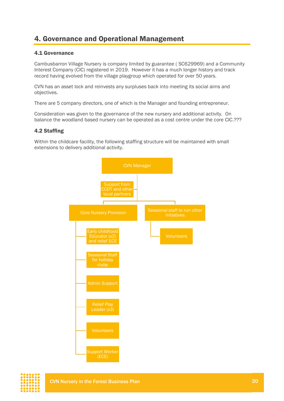# <span id="page-19-0"></span>4. Governance and Operational Management

# <span id="page-19-1"></span>4.1 Governance

Cambusbarron Village Nursery is company limited by guarantee ( SC629969) and a Community Interest Company (CIC) registered in 2019. However it has a much longer history and track record having evolved from the village playgroup which operated for over 50 years.

CVN has an asset lock and reinvests any surpluses back into meeting its social aims and objectives.

There are 5 company directors, one of which is the Manager and founding entrepreneur.

Consideration was given to the governance of the new nursery and additional activity. On balance the woodland based nursery can be operated as a cost centre under the core CIC.???

## <span id="page-19-2"></span>4.2 Staffing

Within the childcare facility, the following staffing structure will be maintained with small extensions to delivery additional activity.



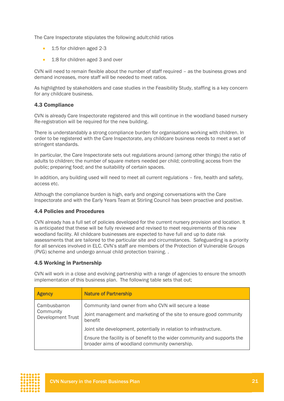The Care Inspectorate stipulates the following adult:child ratios

- 1:5 for children aged 2-3
- 1:8 for children aged 3 and over

CVN will need to remain flexible about the number of staff required – as the business grows and demand increases, more staff will be needed to meet ratios.

As highlighted by stakeholders and case studies in the Feasibility Study, staffing is a key concern for any childcare business.

# <span id="page-20-0"></span>4.3 Compliance

CVN is already Care Inspectorate registered and this will continue in the woodland based nursery Re-registration will be required for the new building.

There is understandably a strong compliance burden for organisations working with children. In order to be registered with the Care Inspectorate, any childcare business needs to meet a set of stringent standards.

In particular, the Care Inspectorate sets out regulations around (among other things) the ratio of adults to children; the number of square meters needed per child; controlling access from the public; preparing food; and the suitability of certain spaces.

In addition, any building used will need to meet all current regulations – fire, health and safety, access etc.

Although the compliance burden is high, early and ongoing conversations with the Care Inspectorate and with the Early Years Team at Stirling Council has been proactive and positive.

# <span id="page-20-1"></span>4.4 Policies and Procedures

CVN already has a full set of policies developed for the current nursery provision and location. It is anticipated that these will be fully reviewed and revised to meet requirements of this new woodland facility. All childcare businesses are expected to have full and up to date risk assessments that are tailored to the particular site and circumstances. Safeguarding is a priority for all services involved in ELC. CVN's staff are members of the Protection of Vulnerable Groups (PVG) scheme and undergo annual child protection training. .

# <span id="page-20-2"></span>4.5 Working in Partnership

CVN will work in a close and evolving partnership with a range of agencies to ensure the smooth implementation of this business plan. The following table sets that out;

| <b>Agency</b>                                         | <b>Nature of Partnership</b>                                                                                                                                                                     |
|-------------------------------------------------------|--------------------------------------------------------------------------------------------------------------------------------------------------------------------------------------------------|
| Cambusbarron<br>Community<br><b>Development Trust</b> | Community land owner from who CVN will secure a lease<br>Joint management and marketing of the site to ensure good community<br>benefit                                                          |
|                                                       | Joint site development, potentially in relation to infrastructure.<br>Ensure the facility is of benefit to the wider community and supports the<br>broader aims of woodland community ownership. |

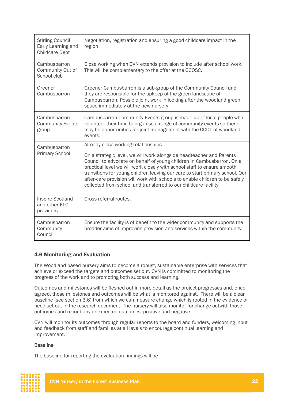| <b>Stirling Council</b><br>Early Learning and<br><b>Childcare Dept</b> | Negotiation, registration and ensuring a good childcare impact in the<br>region                                                                                                                                                                                                                                                                                                                                                                                                                    |
|------------------------------------------------------------------------|----------------------------------------------------------------------------------------------------------------------------------------------------------------------------------------------------------------------------------------------------------------------------------------------------------------------------------------------------------------------------------------------------------------------------------------------------------------------------------------------------|
| Cambusbarron<br>Community Out of<br>School club                        | Close working when CVN extends provision to include after school work.<br>This will be complementary to the offer at the CCOSC.                                                                                                                                                                                                                                                                                                                                                                    |
| Greener<br>Cambusbarron                                                | Greener Cambusbarron is a sub-group of the Community Council and<br>they are responsible for the upkeep of the green landscape of<br>Cambusbarron. Possible joint work in looking after the woodland green<br>space immediately at the new nursery                                                                                                                                                                                                                                                 |
| Cambusbarron<br><b>Community Events</b><br>group                       | Cambusbarron Community Events group is made up of local people who<br>volunteer their time to organise a range of community events so there<br>may be opportunities for joint management with the CCDT of woodland<br>events.                                                                                                                                                                                                                                                                      |
| Cambusbarron<br><b>Primary School</b>                                  | Already close working relationships<br>On a strategic level, we will work alongside headteacher and Parents<br>Council to advocate on behalf of young children in Cambusbarron. On a<br>practical level we will work closely with school staff to ensure smooth<br>transitions for young children leaving our care to start primary school. Our<br>after-care provision will work with schools to enable children to be safely<br>collected from school and transferred to our childcare facility. |
| <b>Inspire Scotland</b><br>and other ELC<br>providers                  | Cross referral routes.                                                                                                                                                                                                                                                                                                                                                                                                                                                                             |
| Cambusbarron<br>Community<br>Council                                   | Ensure the facility is of benefit to the wider community and supports the<br>broader aims of improving provision and services within the community.                                                                                                                                                                                                                                                                                                                                                |

# <span id="page-21-0"></span>4.6 Monitoring and Evaluation

The Woodland based nursery aims to become a robust, sustainable enterprise with services that achieve or exceed the targets and outcomes set out. CVN is committed to monitoring the progress of the work and to promoting both success and learning.

Outcomes and milestones will be fleshed out in more detail as the project progresses and, once agreed, those milestones and outcomes will be what is monitored against. There will be a clear baseline (see section 3.6) from which we can measure change which is rooted in the evidence of need set out in the research document. The nursery will also monitor for change outwith those outcomes and record any unexpected outcomes, positive and negative.

CVN will monitor its outcomes through regular reports to the board and funders, welcoming input and feedback from staff and families at all levels to encourage continual learning and improvement.

## Baseline

The baseline for reporting the evaluation findings will be

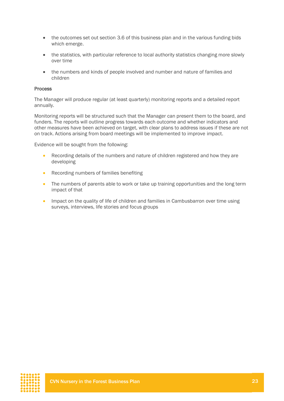- the outcomes set out section 3.6 of this business plan and in the various funding bids which emerge.
- the statistics, with particular reference to local authority statistics changing more slowly over time
- the numbers and kinds of people involved and number and nature of families and children

#### Process

The Manager will produce regular (at least quarterly) monitoring reports and a detailed report annually.

Monitoring reports will be structured such that the Manager can present them to the board, and funders. The reports will outline progress towards each outcome and whether indicators and other measures have been achieved on target, with clear plans to address issues if these are not on track. Actions arising from board meetings will be implemented to improve impact.

Evidence will be sought from the following:

- Recording details of the numbers and nature of children registered and how they are developing
- Recording numbers of families benefiting
- The numbers of parents able to work or take up training opportunities and the long term impact of that
- Impact on the quality of life of children and families in Cambusbarron over time using surveys, interviews, life stories and focus groups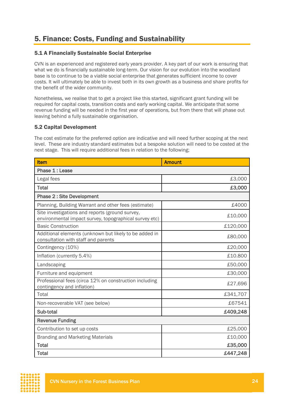# <span id="page-23-0"></span>5. Finance: Costs, Funding and Sustainability

# <span id="page-23-1"></span>5.1 A Financially Sustainable Social Enterprise

CVN is an experienced and registered early years provider. A key part of our work is ensuring that what we do is financially sustainable long-term. Our vision for our evolution into the woodland base is to continue to be a viable social enterprise that generates sufficient income to cover costs. It will ultimately be able to invest both in its own growth as a business and share profits for the benefit of the wider community.

Nonetheless, we realise that to get a project like this started, significant grant funding will be required for capital costs, transition costs and early working capital. We anticipate that some revenue funding will be needed in the first year of operations, but from there that will phase out leaving behind a fully sustainable organisation.

# <span id="page-23-2"></span>5.2 Capital Development

The cost estimate for the preferred option are indicative and will need further scoping at the next level. These are industry standard estimates but a bespoke solution will need to be costed at the next stage. This will require additional fees in relation to the following;

| <b>Item</b>                                                                                               | <b>Amount</b> |
|-----------------------------------------------------------------------------------------------------------|---------------|
| Phase 1: Lease                                                                                            |               |
| Legal fees                                                                                                | £3,000        |
| <b>Total</b>                                                                                              | £3,000        |
| <b>Phase 2: Site Development</b>                                                                          |               |
| Planning, Building Warrant and other fees (estimate)                                                      | £4000         |
| Site investigations and reports (ground survey,<br>environmental impact survey, topographical survey etc) | £10,000       |
| <b>Basic Construction</b>                                                                                 | £120,000      |
| Additional elements (unknown but likely to be added in<br>consultation with staff and parents             | £80,000       |
| Contingency (10%)                                                                                         | £20,000       |
| Inflation (currently 5.4%)                                                                                | £10.800       |
| Landscaping                                                                                               | £50,000       |
| Furniture and equipment                                                                                   | £30,000       |
| Professional fees (circa 12% on construction including<br>contingency and inflation)                      | £27,696       |
| Total                                                                                                     | £341,707      |
| Non-recoverable VAT (see below)                                                                           | £67541        |
| Sub-total                                                                                                 | £409,248      |
| <b>Revenue Funding</b>                                                                                    |               |
| Contribution to set up costs                                                                              | £25,000       |
| <b>Branding and Marketing Materials</b>                                                                   | £10,000       |
| <b>Total</b>                                                                                              | £35,000       |
| <b>Total</b>                                                                                              | £447,248      |

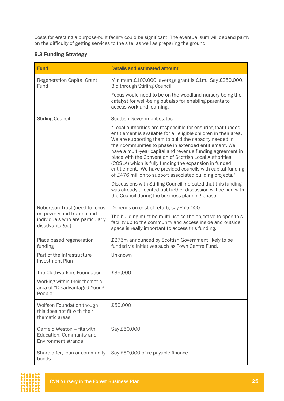Costs for erecting a purpose-built facility could be significant. The eventual sum will depend partly on the difficulty of getting services to the site, as well as preparing the ground.

# <span id="page-24-0"></span>5.3 Funding Strategy

| <b>Fund</b>                                                                           | <b>Details and estimated amount</b>                                                                                                                                                                                                                                                                                                                                                                                                                                                                                                                                 |
|---------------------------------------------------------------------------------------|---------------------------------------------------------------------------------------------------------------------------------------------------------------------------------------------------------------------------------------------------------------------------------------------------------------------------------------------------------------------------------------------------------------------------------------------------------------------------------------------------------------------------------------------------------------------|
| <b>Regeneration Capital Grant</b><br>Fund                                             | Minimum £100,000, average grant is £1m. Say £250,000.<br>Bid through Stirling Council.                                                                                                                                                                                                                                                                                                                                                                                                                                                                              |
|                                                                                       | Focus would need to be on the woodland nursery being the<br>catalyst for well-being but also for enabling parents to<br>access work and learning.                                                                                                                                                                                                                                                                                                                                                                                                                   |
| <b>Stirling Council</b>                                                               | <b>Scottish Government states</b>                                                                                                                                                                                                                                                                                                                                                                                                                                                                                                                                   |
|                                                                                       | "Local authorities are responsible for ensuring that funded<br>entitlement is available for all eligible children in their area.<br>We are supporting them to build the capacity needed in<br>their communities to phase in extended entitlement. We<br>have a multi-year capital and revenue funding agreement in<br>place with the Convention of Scottish Local Authorities<br>(COSLA) which is fully funding the expansion in funded<br>entitlement. We have provided councils with capital funding<br>of £476 million to support associated building projects." |
|                                                                                       | Discussions with Stirling Council indicated that this funding<br>was already allocated but further discussion will be had with<br>the Council during the business planning phase.                                                                                                                                                                                                                                                                                                                                                                                   |
| Robertson Trust (need to focus                                                        | Depends on cost of refurb, say £75,000                                                                                                                                                                                                                                                                                                                                                                                                                                                                                                                              |
| on poverty and trauma and<br>individuals who are particularly<br>disadvantaged)       | The building must be multi-use so the objective to open this<br>facility up to the community and access inside and outside<br>space is really important to access this funding.                                                                                                                                                                                                                                                                                                                                                                                     |
| Place based regeneration<br>funding                                                   | £275m announced by Scottish Government likely to be<br>funded via initiatives such as Town Centre Fund.                                                                                                                                                                                                                                                                                                                                                                                                                                                             |
| Part of the Infrastructure<br><b>Investment Plan</b>                                  | Unknown                                                                                                                                                                                                                                                                                                                                                                                                                                                                                                                                                             |
| The Clothworkers Foundation                                                           | £35,000                                                                                                                                                                                                                                                                                                                                                                                                                                                                                                                                                             |
| Working within their thematic<br>area of "Disadvantaged Young<br>People"              |                                                                                                                                                                                                                                                                                                                                                                                                                                                                                                                                                                     |
| Wolfson Foundation though<br>this does not fit with their<br>thematic areas           | £50,000                                                                                                                                                                                                                                                                                                                                                                                                                                                                                                                                                             |
| Garfield Weston - fits with<br>Education, Community and<br><b>Environment strands</b> | Say £50,000                                                                                                                                                                                                                                                                                                                                                                                                                                                                                                                                                         |
| Share offer, loan or community<br>bonds                                               | Say £50,000 of re-payable finance                                                                                                                                                                                                                                                                                                                                                                                                                                                                                                                                   |

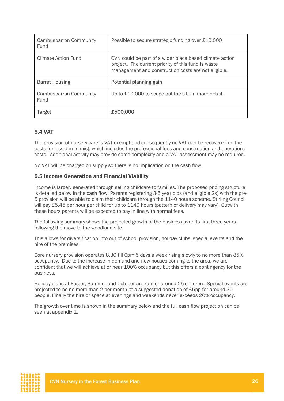| Cambusbarron Community<br>Fund | Possible to secure strategic funding over £10,000                                                                                                                     |
|--------------------------------|-----------------------------------------------------------------------------------------------------------------------------------------------------------------------|
| Climate Action Fund            | CVN could be part of a wider place based climate action<br>project. The current priority of this fund is waste<br>management and construction costs are not eligible. |
| <b>Barrat Housing</b>          | Potential planning gain                                                                                                                                               |
| Cambusbarron Community<br>Fund | Up to £10,000 to scope out the site in more detail.                                                                                                                   |
| <b>Target</b>                  | £500,000                                                                                                                                                              |

# <span id="page-25-0"></span>5.4 VAT

The provision of nursery care is VAT exempt and consequently no VAT can be recovered on the costs (unless deminimis), which includes the professional fees and construction and operational costs. Additional activity may provide some complexity and a VAT assessment may be required.

No VAT will be charged on supply so there is no implication on the cash flow.

### <span id="page-25-1"></span>5.5 Income Generation and Financial Viability

Income is largely generated through selling childcare to families. The proposed pricing structure is detailed below in the cash flow. Parents registering 3-5 year olds (and eligible 2s) with the pre-5 provision will be able to claim their childcare through the 1140 hours scheme. Stirling Council will pay £5.45 per hour per child for up to 1140 hours (pattern of delivery may vary). Outwith these hours parents will be expected to pay in line with normal fees.

The following summary shows the projected growth of the business over its first three years following the move to the woodland site.

This allows for diversification into out of school provision, holiday clubs, special events and the hire of the premises.

Core nursery provision operates 8.30 till 6pm 5 days a week rising slowly to no more than 85% occupancy. Due to the increase in demand and new houses coming to the area, we are confident that we will achieve at or near 100% occupancy but this offers a contingency for the business.

Holiday clubs at Easter, Summer and October are run for around 25 children. Special events are projected to be no more than 2 per month at a suggested donation of £5pp for around 30 people. Finally the hire or space at evenings and weekends never exceeds 20% occupancy.

The growth over time is shown in the summary below and the full cash flow projection can be seen at appendix 1.

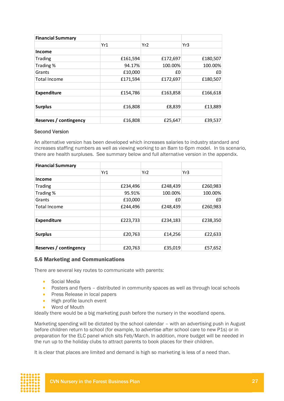| <b>Financial Summary</b> |          |                 |          |
|--------------------------|----------|-----------------|----------|
|                          | Yr1      | Yr <sub>2</sub> | Yr3      |
| Income                   |          |                 |          |
| <b>Trading</b>           | £161,594 | £172,697        | £180,507 |
| Trading %                | 94.17%   | 100.00%         | 100.00%  |
| Grants                   | £10,000  | £0              | £0       |
| Total Income             | £171,594 | £172,697        | £180,507 |
|                          |          |                 |          |
| <b>Expenditure</b>       | £154,786 | £163,858        | £166,618 |
|                          |          |                 |          |
| <b>Surplus</b>           | £16,808  | £8,839          | £13,889  |
|                          |          |                 |          |
| Reserves / contingency   | £16,808  | £25,647         | £39,537  |

#### Second Version

An alternative version has been developed which increases salaries to industry standard and increases staffing numbers as well as viewing working to an 8am to 6pm model. In tis scenario, there are health surpluses. See summary below and full alternative version in the appendix.

| <b>Financial Summary</b> |          |                 |          |
|--------------------------|----------|-----------------|----------|
|                          | Yr1      | Yr <sub>2</sub> | Yr3      |
| Income                   |          |                 |          |
| Trading                  | £234,496 | £248,439        | £260,983 |
| Trading %                | 95.91%   | 100.00%         | 100.00%  |
| Grants                   | £10,000  | £0              | £0       |
| <b>Total Income</b>      | £244,496 | £248,439        | £260,983 |
|                          |          |                 |          |
| <b>Expenditure</b>       | £223,733 | £234,183        | £238,350 |
|                          |          |                 |          |
| <b>Surplus</b>           | £20,763  | £14,256         | £22,633  |
|                          |          |                 |          |
| Reserves / contingency   | £20,763  | £35,019         | £57,652  |

#### <span id="page-26-0"></span>5.6 Marketing and Communications

There are several key routes to communicate with parents:

- Social Media
- Posters and flyers distributed in community spaces as well as through local schools
- Press Release in local papers
- High profile launch event
- Word of Mouth

Ideally there would be a big marketing push before the nursery in the woodland opens.

Marketing spending will be dictated by the school calendar – with an advertising push in August before children return to school (for example, to advertise after school care to new P1s) or in preparation for the ELC panel which sits Feb/March. In addition, more budget will be needed in the run up to the holiday clubs to attract parents to book places for their children.

It is clear that places are limited and demand is high so marketing is less of a need than.

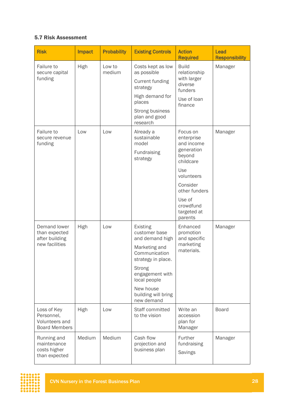# <span id="page-27-0"></span>5.7 Risk Assessment

| <b>Risk</b>                                                         | <b>Impact</b> | <b>Probability</b> | <b>Existing Controls</b>                                                                                                                                                                                   | <b>Action</b><br><b>Required</b>                                                                                                                                             | <b>Lead</b><br><b>Responsibility</b> |
|---------------------------------------------------------------------|---------------|--------------------|------------------------------------------------------------------------------------------------------------------------------------------------------------------------------------------------------------|------------------------------------------------------------------------------------------------------------------------------------------------------------------------------|--------------------------------------|
| Failure to<br>secure capital<br>funding                             | High          | Low to<br>medium   | Costs kept as low<br>as possible<br><b>Current funding</b><br>strategy<br>High demand for<br>places<br><b>Strong business</b><br>plan and good<br>research                                                 | <b>Build</b><br>relationship<br>with larger<br>diverse<br>funders<br>Use of loan<br>finance                                                                                  | Manager                              |
| Failure to<br>secure revenue<br>funding                             | Low           | Low                | Already a<br>sustainable<br>model<br>Fundraising<br>strategy                                                                                                                                               | Focus on<br>enterprise<br>and income<br>generation<br>beyond<br>childcare<br>Use<br>volunteers<br>Consider<br>other funders<br>Use of<br>crowdfund<br>targeted at<br>parents | Manager                              |
| Demand lower<br>than expected<br>after building<br>new facilities   | High          | Low                | <b>Existing</b><br>customer base<br>and demand high<br>Marketing and<br>Communication<br>strategy in place.<br>Strong<br>engagement with<br>local people<br>New house<br>building will bring<br>new demand | Enhanced<br>promotion<br>and specific<br>marketing<br>materials.                                                                                                             | Manager                              |
| Loss of Key<br>Personnel,<br>Volunteers and<br><b>Board Members</b> | High          | Low                | Staff committed<br>to the vision                                                                                                                                                                           | Write an<br>accession<br>plan for<br>Manager                                                                                                                                 | <b>Board</b>                         |
| Running and<br>maintenance<br>costs higher<br>than expected         | Medium        | Medium             | Cash flow<br>projection and<br>business plan                                                                                                                                                               | Further<br>fundraising<br><b>Savings</b>                                                                                                                                     | Manager                              |

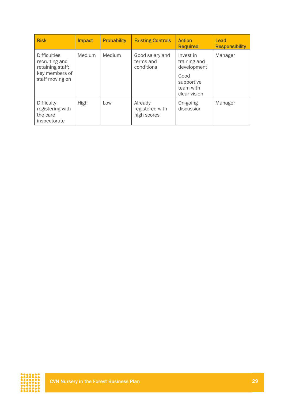| <b>Risk</b>                                                                 | <b>Impact</b> | <b>Probability</b> | <b>Existing Controls</b>                   | <b>Action</b><br><b>Required</b>                | Lead<br><b>Responsibility</b> |
|-----------------------------------------------------------------------------|---------------|--------------------|--------------------------------------------|-------------------------------------------------|-------------------------------|
| <b>Difficulties</b><br>recruiting and<br>retaining staff;<br>key members of | <b>Medium</b> | Medium             | Good salary and<br>terms and<br>conditions | Invest in<br>training and<br>development        | Manager                       |
| staff moving on                                                             |               |                    |                                            | Good<br>supportive<br>team with<br>clear vision |                               |
| <b>Difficulty</b><br>registering with<br>the care<br>inspectorate           | High          | Low                | Already<br>registered with<br>high scores  | On-going<br>discussion                          | Manager                       |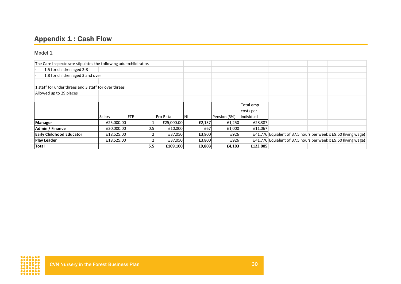# Appendix 1 : Cash Flow

# Model 1

<span id="page-29-0"></span>

| The Care Inspectorate stipulates the following adult: child ratios |            |            |                 |        |              |            |  |                                                                |  |
|--------------------------------------------------------------------|------------|------------|-----------------|--------|--------------|------------|--|----------------------------------------------------------------|--|
| 1:5 for children aged 2-3                                          |            |            |                 |        |              |            |  |                                                                |  |
| 1:8 for children aged 3 and over                                   |            |            |                 |        |              |            |  |                                                                |  |
|                                                                    |            |            |                 |        |              |            |  |                                                                |  |
| 1 staff for under threes and 3 staff for over threes               |            |            |                 |        |              |            |  |                                                                |  |
| Allowed up to 29 places                                            |            |            |                 |        |              |            |  |                                                                |  |
|                                                                    |            |            |                 |        |              |            |  |                                                                |  |
|                                                                    |            |            |                 |        |              | Total emp  |  |                                                                |  |
|                                                                    |            |            |                 |        |              | costs per  |  |                                                                |  |
|                                                                    | Salary     | <b>FTE</b> | <b>Pro Rata</b> | INI    | Pension (5%) | individual |  |                                                                |  |
| Manager                                                            | £25,000.00 |            | £25,000.00      | £2,137 | £1,250       | £28,387    |  |                                                                |  |
| Admin / Finance                                                    | £20,000.00 | 0.5        | £10,000         | £67    | £1,000       | £11,067    |  |                                                                |  |
| <b>Early Childhood Educator</b>                                    | £18,525.00 |            | £37,050         | £3,800 | £926         |            |  | £41,776 Equialent of 37.5 hours per week x £9.50 (living wage) |  |
| <b>Play Leader</b>                                                 | £18,525.00 |            | £37,050         | £3,800 | £926         |            |  | £41,776 Equialent of 37.5 hours per week x £9.50 (living wage) |  |
| <b>Total</b>                                                       |            | 5.5        | £109,100        | £9,803 | £4,103       | £123,005   |  |                                                                |  |

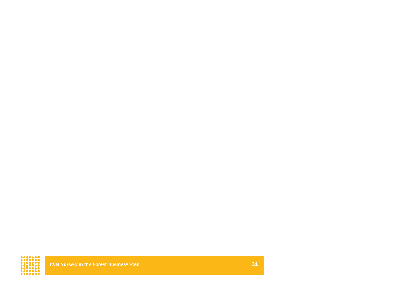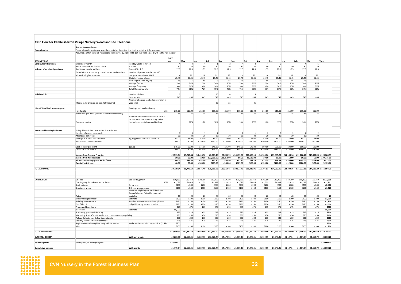|                                        | <b>Assumptions and notes</b>                                                                                                                                                                                        |                                                                |                |                 |                       |                           |                       |                   |                       |                   |                   |                       |                          |                          |                        |
|----------------------------------------|---------------------------------------------------------------------------------------------------------------------------------------------------------------------------------------------------------------------|----------------------------------------------------------------|----------------|-----------------|-----------------------|---------------------------|-----------------------|-------------------|-----------------------|-------------------|-------------------|-----------------------|--------------------------|--------------------------|------------------------|
| <b>General notes</b>                   | Financial model starts post woodland build so there is a functioning building fit for purpose<br>Assumption that covid-19 restrictions will be over by April 2022, but this will be dealt with in the risk register |                                                                |                |                 |                       |                           |                       |                   |                       |                   |                   |                       |                          |                          |                        |
|                                        |                                                                                                                                                                                                                     |                                                                |                |                 |                       |                           |                       |                   |                       |                   |                   |                       |                          |                          |                        |
|                                        |                                                                                                                                                                                                                     |                                                                | 2022           |                 |                       |                           |                       |                   |                       |                   |                   |                       |                          |                          |                        |
| <b>ASSUMPTIONS</b>                     |                                                                                                                                                                                                                     |                                                                | Apr            | May             | Jun                   | Jul                       | Aug                   | Sep               | Oct                   | Nov               | Dec               | Jan                   | Feb                      | Mar                      | Total                  |
| <b>Core Nursery Provision</b>          | Weeks per month                                                                                                                                                                                                     | Holiday weeks removed                                          | $\overline{4}$ | $\overline{4}$  | $\overline{4}$        | $\mathbf{1}$              | $\overline{2}$        | $\overline{4}$    | $\overline{a}$        | 4                 | 5                 |                       | $\overline{a}$           | 5                        |                        |
|                                        | Hours per week for funded places                                                                                                                                                                                    | 6 hours                                                        | 30             | 30              | 30                    | 30                        | 30                    | 30                | 30                    | 30                | 30                | 30                    | 30                       | 30                       |                        |
| Includes after school provision        | Additional purchased hours                                                                                                                                                                                          | Open 8.30 till 6                                               | 17.5           | 17.5            | 17.5                  | 17.5                      | 17.5                  | 17.5              | 17.5                  | 17.5              | 17.5              | 17.5                  | 17.5                     | 17.5                     |                        |
|                                        | Growth from 16 currently - mx of indoor and outdoor                                                                                                                                                                 | Number of places (can be more if                               |                |                 |                       |                           |                       |                   |                       |                   |                   |                       |                          |                          |                        |
|                                        | allows for higher numbers                                                                                                                                                                                           | occupancy rate is not 100%                                     | 29             | 29              | 29                    | 29                        | 29                    | 29                | 29                    | 29                | 29                | 29                    | 29                       | 29                       |                        |
|                                        |                                                                                                                                                                                                                     | Eligible/Funded places                                         | £5.45          | £5.45           | £5.45                 | £5.45                     | £5.45                 | £5.45             | £5.45                 | £5.45             | £5.45             | £5.45                 | £5.45                    | £5.45                    |                        |
|                                        |                                                                                                                                                                                                                     | Non-eligible / Fee paying                                      | £5             | £5              | £5                    | £5                        | £5                    | £5                | £5                    | £5                | £5                | £5                    | £5                       | £5                       |                        |
|                                        |                                                                                                                                                                                                                     | Average funded                                                 | 70%<br>30%     | 70%<br>30%      | 70%<br>30%            | 70%<br>30%                | 70%<br>30%            | 70%<br>30%        | 70%<br>30%            | 70%<br>30%        | 70%<br>30%        | 70%<br>30%            | 70%<br>30%               | 70%<br>30%               |                        |
|                                        |                                                                                                                                                                                                                     | Average fee paying<br><b>Total Occupancy rate</b>              | 70%            | 70%             | 75%                   | 75%                       | 75%                   | 75%               | 80%                   | 80%               | 80%               | 80%                   | 80%                      | 80%                      |                        |
|                                        |                                                                                                                                                                                                                     |                                                                |                |                 |                       |                           |                       |                   |                       |                   |                   |                       |                          |                          |                        |
| <b>Holiday Clubs</b>                   |                                                                                                                                                                                                                     | Number of days                                                 |                |                 |                       | 20                        | 10                    |                   | 5                     |                   |                   |                       |                          |                          |                        |
|                                        |                                                                                                                                                                                                                     | Cost per day                                                   | f45            | £45             | £45                   | £45                       | £45                   | £45               | £45                   | £45               | £45               | £45                   | £45                      | £45                      |                        |
|                                        |                                                                                                                                                                                                                     | Number of places (no Easter provision in                       |                |                 |                       |                           |                       |                   |                       |                   |                   |                       |                          |                          |                        |
|                                        | Mostly older children so less staff required                                                                                                                                                                        | year one)                                                      |                |                 |                       | 25                        | 25                    |                   | 25                    |                   |                   |                       |                          |                          |                        |
|                                        |                                                                                                                                                                                                                     |                                                                |                |                 |                       |                           |                       |                   |                       |                   |                   |                       |                          |                          |                        |
| Hire of Woodland Nursery space         |                                                                                                                                                                                                                     | Evenings and weekends only                                     |                |                 |                       |                           |                       |                   |                       |                   |                   |                       |                          |                          |                        |
|                                        | Hourly rate                                                                                                                                                                                                         | £15                                                            | £15.00         | £15.00          | £15.00                | £15.00                    | £15.00                | £15.00            | £15.00                | £15.00            | £15.00            | £15.00                | £15.00                   | £15.00                   |                        |
|                                        | Max hours per week (7pm to 10pm then weekends)                                                                                                                                                                      |                                                                | 35             | 35              | 35                    | 35                        | 35                    | 35                | 35                    | 35                | 35                | 35                    | 35                       | 35                       |                        |
|                                        |                                                                                                                                                                                                                     | Based on affordable community rates -                          |                |                 |                       |                           |                       |                   |                       |                   |                   |                       |                          |                          |                        |
|                                        |                                                                                                                                                                                                                     | on the basis that there is likely to be                        |                |                 |                       |                           |                       |                   |                       |                   |                   |                       |                          |                          |                        |
|                                        | Occupancy rates                                                                                                                                                                                                     | limited commercial demand (at least                            |                | 10%             | 10%                   | 10%                       | 10%                   | 10%               | 15%                   | 15%               | 15%               | 20%                   | 20%                      | 20%                      |                        |
| <b>Events and learning initiatives</b> | Things like edible nature walks, bat walks etc                                                                                                                                                                      |                                                                |                |                 |                       |                           |                       |                   |                       |                   |                   |                       |                          |                          |                        |
|                                        | Number of events per month                                                                                                                                                                                          |                                                                | $\Omega$       | $\mathbf 0$     | $\mathbf{1}$          | $\mathbf{1}$              | 1                     | $\mathbf{1}$      |                       | $\overline{2}$    | $\mathcal{P}$     | $\overline{2}$        | $\overline{\phantom{a}}$ | $\overline{\phantom{a}}$ |                        |
|                                        | Attendees per event                                                                                                                                                                                                 |                                                                | 30             | 30              | 30                    | 30                        | 30                    | 30                | 30                    | 30                | 30                | 30                    | 30                       | 30                       |                        |
|                                        | Average donation per attendee                                                                                                                                                                                       | Eg, suggested donation per ticket                              | £5.00          | £5.00           | £5.00                 | £5.00                     | £5.00                 | £5.00             | £5.00                 | £5.00             | £5.00             | £5.00                 | £5.00                    | £5.00                    |                        |
|                                        | Monthly Income from events                                                                                                                                                                                          |                                                                | £0.00          | £0.00           | £150.00               | £150.00                   | £150.00               | £150.00           | £150.00               | £300.00           | £300.00           | £300.00               | £300.00                  | £300.00                  |                        |
|                                        | Cost of tutor per event                                                                                                                                                                                             | £75.00                                                         | £75.00         | £0.00           | £45.00                | £45.00                    | £45.00                | £45.00            | £45.00                | £90.00            | £90.00            | £90.00                | £90.00                   | £90.00                   |                        |
|                                        | Direct costs for events                                                                                                                                                                                             |                                                                | £0.00          | £0.00           | £45.00                | £45.00                    | £45.00                | £45.00            | £45.00                | £180.00           | £180.00           | £180.00               | £180.00                  | £180.00                  |                        |
|                                        |                                                                                                                                                                                                                     |                                                                |                |                 |                       |                           |                       |                   |                       |                   |                   |                       |                          |                          |                        |
|                                        | <b>Income from Nursery Provision</b>                                                                                                                                                                                |                                                                | £9.719.64      | £9.719.64       | £10.413.90            | £2.603.48                 | £5,206.95             | £10,413.90        | £11.108.16            | £11.108.16        | £13,885.20        | £11.108.16            | £11.108.16               |                          | £13.885.20 £120.280.55 |
|                                        | Income from holiday clubs                                                                                                                                                                                           |                                                                | £0.00          | £0.00           | £0.00                 | £22,500.00                | £11,250.00            | £0.00             | £5,625.00             | £0.00             | £0.00             | £0.00                 | £0.00                    | £0.00                    | £39,375.00             |
|                                        | Hire of community spaces Profit / Loss<br><b>Events Profit / Loss</b>                                                                                                                                               |                                                                | £0.00<br>£0.00 | £52.50<br>£0.00 | £52.50<br>£105.00     | £52.50<br>£105.00         | £52.50<br>£105.00     | £52.50<br>£105.00 | £78.75<br>£105.00     | £78.75<br>£120.00 | £78.75<br>£120.00 | £105.00<br>£120.00    | £105.00<br>£120.00       | £105.00<br>£120.00       | £813.75<br>£1,125.00   |
|                                        |                                                                                                                                                                                                                     |                                                                |                |                 |                       |                           |                       |                   |                       |                   |                   |                       |                          |                          |                        |
| <b>TOTAL INCOME</b>                    |                                                                                                                                                                                                                     |                                                                | £9.719.64      | £9,772.14       | £10.571.40            | £25,260.98                | £16,614.45            | £10,571.40        | £16,916.91 £11,306.91 |                   | £14,083.95        | £11.333.16            | £11.333.16               |                          | £14.110.20 £161.594.30 |
|                                        |                                                                                                                                                                                                                     |                                                                |                |                 |                       |                           |                       |                   |                       |                   |                   |                       |                          |                          |                        |
|                                        |                                                                                                                                                                                                                     |                                                                |                |                 |                       |                           |                       |                   |                       |                   |                   |                       |                          |                          |                        |
| <b>EXPENDITURE</b>                     | Salaries                                                                                                                                                                                                            | See staffing sheet                                             | £10,250        | £10,250         | £10,250               | £10,250                   | £10,250               | £10,250           | £10,250               | £10,250           | £10,250           | £10,250               | £10,250                  | £10,250                  | £123,005               |
|                                        | Contingency for sickness and holidays                                                                                                                                                                               | 10%                                                            | £1.025         | £1.025          | £1.025                | £1.025                    | £1,025                | £1.025            | £1.025                | £1.025            | £1.025            | £1,025                | £1,025                   | £1,025                   | £12,301                |
|                                        | Staff training                                                                                                                                                                                                      | As current                                                     | £200           | £200            | £200                  | f200                      | £200                  | £200              | £200                  | £200              | £200              | £200                  | £200                     | £200                     | £2,400                 |
|                                        | Snacks per week                                                                                                                                                                                                     | £40 per week average<br>Assumes eligibility for Small Business | £160           | £160            | £160                  | £160                      | £160                  | £160              | £160                  | £160              | £160              | £160                  | £160                     | £160                     | £1,920                 |
|                                        |                                                                                                                                                                                                                     | Bonus Scheme. Rateable value not                               |                |                 |                       |                           |                       |                   |                       |                   |                   |                       |                          |                          |                        |
|                                        | Rates                                                                                                                                                                                                               | available                                                      | £0             | f(              | f(                    | f(                        | f(                    | f0                | f(                    | £0                | £0                | f0                    | f()                      | f0                       | £0                     |
|                                        | Water rates (estimate)                                                                                                                                                                                              | Estimate                                                       | £100           | £100            | £100                  | £100                      | £100                  | £100              | £100                  | £100              | £100              | £100                  | £100                     | £100                     | £1.200                 |
|                                        | <b>Building maintenance</b>                                                                                                                                                                                         | Total of maintenance and compliance                            | £150           | £150            | £150                  | £150                      | £150                  | £150              | £150                  | £150              | £150              | £150                  | £150                     | £150                     | £1,800                 |
|                                        | Gas / Electric                                                                                                                                                                                                      | Off grid heating system possible                               | £250           | £250            | £250                  | £250                      | £250                  | £250              | £250                  | £250              | £250              | £250                  | £250                     | £250                     | £3,000                 |
|                                        | Phone and broadband                                                                                                                                                                                                 |                                                                | £75            | £75             | £75                   | £75                       | £75                   | £75               | £75                   | £75               | £75               | £75                   | £75                      | £75                      | £900                   |
|                                        | Insurance                                                                                                                                                                                                           | Estimate                                                       | £5,000         |                 |                       |                           |                       |                   |                       |                   |                   |                       |                          |                          | £5,000                 |
|                                        | Stationery, postage & Printing                                                                                                                                                                                      |                                                                | £25            | £25             | f25                   | £25                       | f25                   | £25               | £25                   | £25               | £25               | £25                   | £25                      | f25                      | £300                   |
|                                        | Marketing (use of social media and core marketing capability                                                                                                                                                        |                                                                | £50            | £50             | f50                   | £50                       | £50                   | £50               | £50                   | £50               | f50               | £50                   | f50                      | £50                      | £600                   |
|                                        | Refuse Collection and cleaning materials                                                                                                                                                                            |                                                                | £30            | £30             | £30                   | £30                       | £30                   | £30               | £30                   | £30               | £30               | £30                   | £30                      | £30                      | £360                   |
|                                        | Security alarm and other contracts                                                                                                                                                                                  |                                                                | £25            | £25             | £25                   | £25                       | £25                   | £25               | £25                   | £25               | £25               | £25                   | £25                      | £25                      | £300                   |
|                                        | Registration and compliance (eg PRS for events)                                                                                                                                                                     | And Care Commission registration (£165)                        | £500           |                 |                       |                           |                       |                   |                       |                   |                   |                       |                          |                          | £500                   |
|                                        | Misc                                                                                                                                                                                                                |                                                                | £100           | £100            | £100                  | £100                      | £100                  | £100              | £100                  | £100              | £100              | £100                  | £100                     | £100                     | £1.200                 |
| <b>TOTAL OVERHEADS</b>                 |                                                                                                                                                                                                                     |                                                                | £17,940.50     |                 | £12,440.50 £12,440.50 |                           | £12,440.50 £12,440.50 | £12,440.50        | £12,440.50 £12,440.50 |                   |                   | £12,440.50 £12,440.50 | £12,440.50               |                          | £12,440.50 £154,786.01 |
| <b>SURPLUS / DEFICIT</b>               |                                                                                                                                                                                                                     | With out grants                                                | $-E8,220.86$   | $-E2,668.36$    |                       | $-f1,869.10$ $f12,820.47$ | £4,173.95             | $-£1,869.10$      | £4,476.41             | $-£1,133.59$      | £1,643.45         | $-£1,107.34$          | $-E1,107.34$             | £1,669.70                | £6,808.28              |
|                                        |                                                                                                                                                                                                                     |                                                                |                |                 |                       |                           |                       |                   |                       |                   |                   |                       |                          |                          |                        |
|                                        | Small grant for workign capital                                                                                                                                                                                     |                                                                | £10,000.00     |                 |                       |                           |                       |                   |                       |                   |                   |                       |                          |                          | £10,000.00             |
| <b>Revenue grants</b>                  |                                                                                                                                                                                                                     |                                                                |                |                 |                       |                           |                       |                   |                       |                   |                   |                       |                          |                          |                        |

**CVN Nursery in the Forest Business Plan 32 32**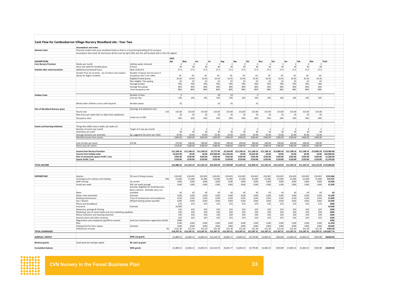|                                        | Cash Flow for Cambusbarron Village Nursery Woodland site: Year Two                                                 |                                                      |                       |                      |                      |                      |                      |                      |                      |                                   |                      |                                |                      |                      |                                   |  |
|----------------------------------------|--------------------------------------------------------------------------------------------------------------------|------------------------------------------------------|-----------------------|----------------------|----------------------|----------------------|----------------------|----------------------|----------------------|-----------------------------------|----------------------|--------------------------------|----------------------|----------------------|-----------------------------------|--|
|                                        | <b>Assumptions and notes</b>                                                                                       |                                                      |                       |                      |                      |                      |                      |                      |                      |                                   |                      |                                |                      |                      |                                   |  |
| <b>General notes</b>                   | Financial model starts post woodland build so there is a functioning building fit for purpose                      |                                                      |                       |                      |                      |                      |                      |                      |                      |                                   |                      |                                |                      |                      |                                   |  |
|                                        | Assumption that covid-19 restrictions will be over by April 2022, but this will be dealt with in the risk register |                                                      |                       |                      |                      |                      |                      |                      |                      |                                   |                      |                                |                      |                      |                                   |  |
|                                        |                                                                                                                    |                                                      | 2023                  |                      |                      |                      |                      |                      |                      |                                   |                      |                                |                      |                      |                                   |  |
| <b>ASSUMPTIONS</b>                     |                                                                                                                    |                                                      | Apr                   | May                  | Jun                  | Jul                  | Aug                  | Ser                  | Oct                  | Nov                               | Dec                  | Jan                            | Feb                  | Mar                  | <b>Total</b>                      |  |
| <b>Core Nursery Provision</b>          | Weeks per month                                                                                                    | Holiday weeks removed                                | $\Delta$              | $\overline{a}$       | $\Delta$             | 1                    | $\overline{2}$       | Δ                    | $\Delta$             | $\Delta$                          | К                    | $\Delta$                       | $\Delta$             | 5                    |                                   |  |
|                                        | Hours per week for funded places                                                                                   | 6 hours                                              | 30 <sup>1</sup>       | 30                   | 30                   | 30                   | 30                   | 30                   | 30                   | 30 <sup>2</sup>                   | 30                   | 30                             | 30                   | 30 <sup>1</sup>      |                                   |  |
| Includes after school provision        | Additional purchased hours                                                                                         | Open 8.30 till 6                                     | 17.5                  | 17.5                 | 17.5                 | 17.5                 | 17.5                 | 17.5                 | 17.5                 | 17.5                              | 17.5                 | 17.5                           | 17.5                 | 17.5                 |                                   |  |
|                                        | Growth from 16 currently - mx of indoor and outdoor                                                                | Number of places (can be more if                     |                       |                      |                      |                      |                      |                      |                      |                                   |                      |                                |                      |                      |                                   |  |
|                                        | allows for higher numbers                                                                                          | occupancy rate is not 100%<br>Eligible/Funded places | 29<br>£5.45           | 29<br>£5.45          | 29<br>£5.45          | 29<br>£5.45          | 29<br>£5.45          | 29<br>£5.45          | 29<br>£5.45          | 29<br>£5.45                       | 29<br>£5.45          | 29<br>£5.45                    | 29<br>£5.45          | 29<br>£5.45          |                                   |  |
|                                        |                                                                                                                    | Non-eligible / Fee paying                            | £5                    | £5                   | £5                   | £5                   | £5                   | £5                   | £5                   | £5                                | £5                   | £5                             | £5                   | £5                   |                                   |  |
|                                        |                                                                                                                    | Average funded                                       | 70%                   | 70%                  | 70%                  | 70%                  | 70%                  | 70%                  | 70%                  | 70%                               | 70%                  | 70%                            | 70%                  | 70%                  |                                   |  |
|                                        |                                                                                                                    | Average fee paying                                   | 30%                   | 30%                  | 30%                  | 30%                  | 30%                  | 30%                  | 30%                  | 30%                               | 30%                  | 30%                            | 30%                  | 30%                  |                                   |  |
|                                        |                                                                                                                    | Total Occupancy rate                                 | 80%                   | 80%                  | 80%                  | 80%                  | 80%                  | 80%                  | 80%                  | 80%                               | 80%                  | 80%                            | 80%                  | 80%                  |                                   |  |
|                                        |                                                                                                                    |                                                      |                       |                      |                      |                      |                      |                      |                      |                                   |                      |                                |                      |                      |                                   |  |
| <b>Holiday Clubs</b>                   |                                                                                                                    | Number of days<br>Cost per day                       | $\overline{5}$<br>£45 | £45                  | £45                  | 20<br>£45            | 10<br>£45            | £45                  | 5<br>£45             | £45                               | £45                  | £45                            | £45                  | £45                  |                                   |  |
|                                        |                                                                                                                    |                                                      |                       |                      |                      |                      |                      |                      |                      |                                   |                      |                                |                      |                      |                                   |  |
|                                        | Mostly older children so less staff required                                                                       | Number places                                        | 25                    |                      |                      | 25                   | 25                   |                      | 25                   |                                   |                      |                                |                      |                      |                                   |  |
|                                        |                                                                                                                    |                                                      |                       |                      |                      |                      |                      |                      |                      |                                   |                      |                                |                      |                      |                                   |  |
| <b>Hire of Woodland Nursery space</b>  | Hourly rate                                                                                                        | Evenings and weekends only<br>£15                    | £15.00                | £15.00               | £15.00               | £15.00               | £15.00               | £15.00               | £15.00               | £15.00                            | £15.00               | £15.00                         | £15.00               | £15.00               |                                   |  |
|                                        | Max hours per week (7pm to 10pm then weekends)                                                                     |                                                      | 35                    | 35                   | 35                   | 35                   | 35                   | 35                   | 35                   | 35                                | 35                   | 35                             | 35                   | 35                   |                                   |  |
|                                        | Occupancy rates                                                                                                    | Levels out at 20%                                    | 20%                   | 20%                  | 20%                  | 20%                  | 20%                  | 20%                  | 20%                  | 20%                               | 20%                  | 20%                            | 20%                  | 20%                  |                                   |  |
|                                        |                                                                                                                    |                                                      |                       |                      |                      |                      |                      |                      |                      |                                   |                      |                                |                      |                      |                                   |  |
|                                        |                                                                                                                    |                                                      |                       |                      |                      |                      |                      |                      |                      |                                   |                      |                                |                      |                      |                                   |  |
| <b>Events and learning initiatives</b> | Things like edible nature walks, bat walks etc                                                                     |                                                      |                       |                      |                      |                      |                      |                      |                      |                                   |                      |                                |                      |                      |                                   |  |
|                                        | Number of events per month<br>Attendees per event                                                                  | Target of 2 max per month                            | $\overline{2}$<br>30  | $\overline{2}$<br>30 | $\overline{z}$<br>30 | $\overline{z}$<br>30 | $\overline{2}$<br>30 | $\overline{2}$<br>30 | $\overline{2}$<br>30 | $\overline{2}$<br>30 <sup>2</sup> | $\overline{2}$<br>30 | $\overline{\phantom{0}}$<br>30 | $\overline{2}$<br>30 | $\overline{2}$<br>30 |                                   |  |
|                                        | Average donation per attendee                                                                                      | Eg, suggested donation per ticket                    | £5.00                 | £5.00                | £5.00                | £5.00                | £5.00                | £5.00                | £5.00                | £5.00                             | £5.00                | £5.00                          | £5.00                | £5.00                |                                   |  |
|                                        | Monthly Income from events                                                                                         |                                                      | £300.00               | £300.00              | £300.00              | £300.00              | £300.00              | £300.00              | £300.00              | £300.00                           | £300.00              | £300.00                        | £300.00              | £300.00              |                                   |  |
|                                        |                                                                                                                    |                                                      |                       |                      |                      |                      |                      |                      |                      |                                   |                      |                                |                      |                      |                                   |  |
|                                        | Cost of tutor per event                                                                                            | £75.00                                               | £75.00                | £90.00               | £90.00               | £90.00               | £90.00               | £90.00               | £90.00               | £90.00                            | £90.00               | £90.00                         | £90.00               | £90.00               |                                   |  |
|                                        | Direct costs for events                                                                                            |                                                      | £150.00               | £180.00              | £180.00              | £180.00              | £180.00              | £180.00              | £180.00              | £180.00                           | £180.00              | £180.00                        | £180.00              | £180.00              |                                   |  |
|                                        | <b>Income from Nursery Provision</b>                                                                               |                                                      | £11,108.16            | £11,108.16           | £11,108.16           | £2,777.04            | £5,554.08            | £11,108.16           | £11,108.16           | £11,108.16                        | £13,885.20           | £11,108.16                     | £11,108.16           |                      | £13,885.20 £124,966.80            |  |
|                                        | Income from holiday clubs                                                                                          |                                                      | £5,625.00             | £0.00                | £0.00                | £22,500.00           | £11,250.00           | £0.00                | £5,625.00            | £0.00                             | £0.00                | £0.00                          | £0.00                | £0.00                | £45,000.00                        |  |
|                                        | Hire of community spaces Profit / Loss                                                                             |                                                      | £105.00               | £105.00              | £105.00              | £105.00              | £105.00              | £105.00              | £105.00              | £105.00                           | £105.00              | £105.00                        | £105.00              | £105.00              | £1,260.00                         |  |
|                                        | Events Profit / Loss                                                                                               |                                                      | £150.00               | £120.00              | £120.00              | £120.00              | £120.00              | £120.00              | £120.00              | £120.00                           | £120.00              | £120.00                        | £120.00              | £120.00              | £1,470.00                         |  |
| <b>TOTAL INCOME</b>                    |                                                                                                                    |                                                      | £16,988.16            | £11,333.16           | £11,333.16           | £25,502.04           | £17,029.08           | £11,333.16           | £16,958.16           | £11,333.16                        | £14,110.20           | £11,333.16                     | £11,333.16           |                      | £14,110.20 £172,696.80            |  |
|                                        |                                                                                                                    |                                                      |                       |                      |                      |                      |                      |                      |                      |                                   |                      |                                |                      |                      |                                   |  |
|                                        |                                                                                                                    |                                                      |                       |                      |                      |                      |                      |                      |                      |                                   |                      |                                |                      |                      |                                   |  |
|                                        |                                                                                                                    |                                                      |                       |                      |                      |                      |                      |                      |                      |                                   |                      |                                |                      |                      |                                   |  |
| <b>EXPENDITURE</b>                     | Salaries                                                                                                           | 2% cost of living increase                           | £10,455               | £10,455              | £10,455              | £10,455              | £10,455              | £10,455              | £10,455              | £10,455                           | £10,455              | £10,455                        | £10,455              | £10,455              | £125,466                          |  |
|                                        | Contingency for sickness and holidays<br>Staff training                                                            | 10%<br>As current                                    | £1,046<br>£200        | £1,046<br>£200       | £1,046<br>£200       | £1,046<br>£200       | £1,046<br>£200       | £1,046<br>£200       | £1,046<br>£200       | £1,046<br>£200                    | £1,046<br>£200       | £1,046<br>£200                 | £1,046<br>£200       | £1,046<br>£200       | £12,547<br>£2,400                 |  |
|                                        | Snacks per week                                                                                                    | £40 per week average                                 | £160                  | £160                 | £160                 | £160                 | £160                 | £160                 | £160                 | £160                              | £160                 | £160                           | £160                 | £160                 | £1,920                            |  |
|                                        |                                                                                                                    | Assumes eligibility for Small Business               |                       |                      |                      |                      |                      |                      |                      |                                   |                      |                                |                      |                      |                                   |  |
|                                        |                                                                                                                    | Bonus Scheme. Rateable value not                     |                       |                      |                      |                      |                      |                      |                      |                                   |                      |                                |                      |                      |                                   |  |
|                                        | Rates                                                                                                              | available                                            | £0                    | £0                   | £0                   | f(                   | f(                   | f(                   | f0                   | f0                                | f0                   | f0                             | f(                   | f(                   | £0                                |  |
|                                        | Water rates (estimate)<br><b>Building maintenance</b>                                                              | Estimate<br>Total of maintenance and compliance      | £100<br>£150          | £100<br>£150         | £100<br>£150         | £100<br>£150         | £100<br>£150         | £100<br>£150         | £100<br>£150         | £100<br>£150                      | £100<br>£150         | £100<br>£150                   | £100<br>£150         | £100<br>£150         | £1,200<br>£1,800                  |  |
|                                        | Gas / Electric                                                                                                     | Off grid heating system possible                     | £250                  | £250                 | £250                 | £250                 | £250                 | £250                 | £250                 | £250                              | £250                 | £250                           | £250                 | £250                 | £3.000                            |  |
|                                        | Phone and broadband                                                                                                |                                                      | <b>f75</b>            | £75                  | £75                  | £75                  | £75                  | £75                  | £75                  | £75                               | £75                  | £75                            | £75                  | £75                  | £900                              |  |
|                                        | Insurance                                                                                                          | Estimate                                             | £5,000                |                      |                      |                      |                      |                      |                      |                                   |                      |                                |                      |                      | £5,000                            |  |
|                                        | Stationery, postage & Printing                                                                                     |                                                      | £25                   | £25                  | £25                  | £25                  | £25                  | £25                  | £25                  | £25                               | £25                  | £25                            | £25                  | £25                  | £300                              |  |
|                                        | Marketing (use of social media and core marketing capability<br>Refuse Collection and cleaning materials           |                                                      | £50<br>£30            | £50<br>£30           | £50<br>£30           | £50<br>£30           | £50<br>£30           | £50<br>£30           | £50<br>£30           | £50<br>£30                        | £50<br>£30           | £50<br>£30                     | £50<br>£30           | £50<br>£30           | £600<br>£360                      |  |
|                                        | Security alarm and other contracts                                                                                 |                                                      | £25                   | £25                  | £25                  | £25                  | £25                  | £25                  | £25                  | £25                               | £25                  | £25                            | £25                  | £25                  | £300                              |  |
|                                        | Registration and compliance (eg PRS for events)                                                                    | And Care Commission registration (£165)              | £500                  |                      |                      |                      |                      |                      |                      |                                   |                      |                                |                      |                      | £500                              |  |
|                                        | Misc                                                                                                               |                                                      | £100                  | £100                 | £100                 | £100                 | £100                 | £100                 | £100                 | £100                              | £100                 | £100                           | £100                 | £100                 | £1.200                            |  |
|                                        | Sinking fund for futur repairs                                                                                     | Estimate                                             | £500                  | £500                 | £500                 | £500                 | £500                 | £500                 | £500                 | £500                              | £500                 | £500                           | £500                 | £500                 | £6,000                            |  |
| <b>TOTAL OVERHEADS</b>                 | Inflationary increase                                                                                              | 2%                                                   | £131.30<br>£18,797.31 | £21.30<br>£13,187.31 | £21.30<br>£13,187.31 | £21.30<br>£13,187.31 | £21.30<br>£13,187.31 | £21.30<br>£13,187.31 | £21.30<br>£13,187.31 | £21.30<br>£13,187.31              | £21.30<br>£13,187.31 | £21.30<br>£13,187.31           | £21.30<br>£13,187.31 | £21.30               | £365.60<br>£13,187.31 £163,857.74 |  |
|                                        |                                                                                                                    |                                                      |                       |                      |                      |                      |                      |                      |                      |                                   |                      |                                |                      |                      |                                   |  |
| <b>SURPLUS / DEFICIT</b>               |                                                                                                                    | With out grants                                      | $-E1,809.15$          | $-£1,854.15$         | $-E1,854.15$         | £12,314.73           | £3,841.77            | $-£1,854.15$         | £3,770.85            | $-£1,854.15$                      | £922.89              | $-£1,854.15$                   | $-£1,854.15$         | £922.89              | £8,839.06                         |  |
|                                        |                                                                                                                    |                                                      |                       |                      |                      |                      |                      |                      |                      |                                   |                      |                                |                      |                      |                                   |  |
| <b>Revenue grants</b>                  | Small grant for workign capital                                                                                    | No start up grant                                    |                       |                      |                      |                      |                      |                      |                      |                                   |                      |                                |                      |                      |                                   |  |
| <b>Cumulative balance</b>              |                                                                                                                    | With grants                                          | $-f1.809.15$          | $-£1.854.15$         | $-£1.854.15$         | £12,314.73           | £3.841.77            | $-£1.854.15$         | £3,770.85            | $-£1.854.15$                      | £922.89              | $-£1,854.15$                   | $-£1.854.15$         | £922.89              | £8.839.06                         |  |

**CVN Nursery in the Forest Business Plan 33 33**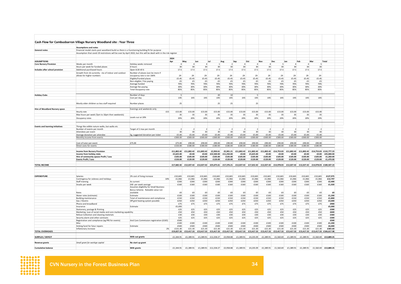|                                        | Cash Flow for Cambusbarron Village Nursery Woodland site: Year Three                                               |                                                                            |                      |                  |                          |                       |                       |                          |                      |                       |                  |                  |                  |                  |                         |  |
|----------------------------------------|--------------------------------------------------------------------------------------------------------------------|----------------------------------------------------------------------------|----------------------|------------------|--------------------------|-----------------------|-----------------------|--------------------------|----------------------|-----------------------|------------------|------------------|------------------|------------------|-------------------------|--|
|                                        | <b>Assumptions and notes</b>                                                                                       |                                                                            |                      |                  |                          |                       |                       |                          |                      |                       |                  |                  |                  |                  |                         |  |
| General notes                          | Financial model starts post woodland build so there is a functioning building fit for purpose                      |                                                                            |                      |                  |                          |                       |                       |                          |                      |                       |                  |                  |                  |                  |                         |  |
|                                        | Assumption that covid-19 restrictions will be over by April 2022, but this will be dealt with in the risk register |                                                                            |                      |                  |                          |                       |                       |                          |                      |                       |                  |                  |                  |                  |                         |  |
|                                        |                                                                                                                    |                                                                            |                      |                  |                          |                       |                       |                          |                      |                       |                  |                  |                  |                  |                         |  |
| <b>ASSUMPTIONS</b>                     |                                                                                                                    |                                                                            | 2024<br>Apr          | May              | Jun                      | Jul                   |                       | Sep                      | Oct                  | Nov                   | Dec              | Jan              | Feb              | Mar              | Total                   |  |
| <b>Core Nursery Provision</b>          | Weeks per month                                                                                                    | Holiday weeks removed                                                      | $\Delta$             | $\overline{a}$   | $\overline{a}$           | $\mathbf{1}$          | Aug<br>$\overline{2}$ | 4                        | 4                    | $\overline{a}$        | 5                | Δ                | $\overline{a}$   |                  |                         |  |
|                                        | Hours per week for funded places                                                                                   | 6 hours                                                                    | 30                   | 30               | 30                       | 30                    | 30                    | 30                       | 30                   | 30 <sup>2</sup>       | 30               | 30               | 30               | 30               |                         |  |
| Includes after school provision        | Additional purchased hours                                                                                         | Open 8.30 till 6                                                           | 17.5                 | 17.5             | 17.5                     | 17.5                  | 17.5                  | 17.5                     | 17.5                 | 17.5                  | 17.5             | 17.5             | 17.5             | 17.5             |                         |  |
|                                        | Growth from 16 currently - mx of indoor and outdoor                                                                | Number of places (can be more if                                           |                      |                  |                          |                       |                       |                          |                      |                       |                  |                  |                  |                  |                         |  |
|                                        | allows for higher numbers                                                                                          | occupancy rate is not 100%                                                 | 29                   | 29               | 29                       | 29                    | 29                    | 29                       | 29                   | 29                    | 29               | 29               | 29               | 29               |                         |  |
|                                        |                                                                                                                    | Eligible/Funded places                                                     | £5.45                | £5.45            | £5.45                    | £5.45                 | £5.45                 | £5.45                    | £5.45                | £5.45                 | £5.45            | £5.45            | £5.45            | £5.45            |                         |  |
|                                        |                                                                                                                    | Non-eligible / Fee paying                                                  | £5                   | £5<br>70%        | £5                       | £5                    | £5                    | £5                       | £5                   | £5                    | £5               | £5               | £5               | £5               |                         |  |
|                                        |                                                                                                                    | Average funded<br>Average fee paying                                       | 70%<br>30%           | 30%              | 70%<br>30%               | 70%<br>30%            | 70%<br>30%            | 70%<br>30%               | 70%<br>30%           | 70%<br>30%            | 70%<br>30%       | 70%<br>30%       | 70%<br>30%       | 70%<br>30%       |                         |  |
|                                        |                                                                                                                    | <b>Total Occupancy rate</b>                                                | 85%                  | 85%              | 85%                      | 85%                   | 85%                   | 85%                      | 85%                  | 85%                   | 85%              | 85%              | 85%              | 85%              |                         |  |
|                                        |                                                                                                                    |                                                                            |                      |                  |                          |                       |                       |                          |                      |                       |                  |                  |                  |                  |                         |  |
| <b>Holiday Clubs</b>                   |                                                                                                                    | Number of days                                                             | 5 <sup>1</sup>       |                  |                          | 20                    | 10                    |                          | 5                    |                       |                  |                  |                  |                  |                         |  |
|                                        |                                                                                                                    | Cost per day                                                               | £45                  | £45              | £45                      | £45                   | £45                   | £45                      | £45                  | £45                   | £45              | £45              | £45              | £45              |                         |  |
|                                        | Mostly older children so less staff required                                                                       | Number places                                                              | 25                   |                  |                          | 25                    | 25                    |                          | 25                   |                       |                  |                  |                  |                  |                         |  |
|                                        |                                                                                                                    |                                                                            |                      |                  |                          |                       |                       |                          |                      |                       |                  |                  |                  |                  |                         |  |
| <b>Hire of Woodland Nursery space</b>  |                                                                                                                    | Evenings and weekends only                                                 |                      |                  |                          |                       |                       |                          |                      |                       |                  |                  |                  |                  |                         |  |
|                                        | Hourly rate                                                                                                        | £15                                                                        | £15.00<br>35         | £15.00<br>35     | £15.00<br>35             | £15.00<br>35          | £15.00<br>35          | £15.00<br>35             | £15.00<br>35         | £15.00<br>35          | £15.00<br>35     | £15.00<br>35     | £15.00<br>35     | £15.00<br>35     |                         |  |
|                                        | Max hours per week (7pm to 10pm then weekends)                                                                     | Levels out at 20%                                                          | 20%                  |                  | 20%                      | 20%                   | 20%                   |                          | 20%                  | 20%                   | 20%              | 20%              | 20%              |                  |                         |  |
|                                        | Occupancy rates                                                                                                    |                                                                            |                      | 20%              |                          |                       |                       | 20%                      |                      |                       |                  |                  |                  | 20%              |                         |  |
|                                        |                                                                                                                    |                                                                            |                      |                  |                          |                       |                       |                          |                      |                       |                  |                  |                  |                  |                         |  |
| <b>Events and learning initiatives</b> | Things like edible nature walks, bat walks etc                                                                     |                                                                            |                      |                  |                          |                       |                       |                          |                      |                       |                  |                  |                  |                  |                         |  |
|                                        | Number of events per month                                                                                         | Target of 2 max per month                                                  | $\overline{2}$       | $\overline{2}$   | $\overline{\phantom{a}}$ | $\overline{2}$        | $\overline{2}$        | $\overline{\phantom{a}}$ | $\overline{2}$       | 2                     | $\overline{2}$   | $\overline{2}$   | $\overline{2}$   | $\overline{z}$   |                         |  |
|                                        | Attendees per event                                                                                                |                                                                            | 30                   | 30               | 30                       | 30                    | 30                    | 30                       | 30                   | 30 <sup>2</sup>       | 30               | 30               | 30               | 30               |                         |  |
|                                        | Average donation per attendee<br>Monthly Income from events                                                        | Eg, suggested donation per ticket                                          | £5.00<br>£300.00     | £5.00<br>£300.00 | £5.00<br>£300.00         | £5.00<br>£300.00      | £5.00<br>£300.00      | £5.00<br>£300.00         | £5.00<br>£300.00     | £5.00<br>£300.00      | £5.00<br>£300.00 | £5.00<br>£300.00 | £5.00<br>£300.00 | £5.00<br>£300.00 |                         |  |
|                                        |                                                                                                                    |                                                                            |                      |                  |                          |                       |                       |                          |                      |                       |                  |                  |                  |                  |                         |  |
|                                        | Cost of tutor per event                                                                                            | £75.00                                                                     | £75.00               | £90.00           | £90.00                   | £90.00                | £90.00                | £90.00                   | £90.00               | £90.00                | £90.00           | £90.00           | £90.00           | £90.00           |                         |  |
|                                        | Direct costs for events                                                                                            |                                                                            | £150.00              | £180.00          | £180.00                  | £180.00               | £180.00               | £180.00                  | £180.00              | £180.00               | £180.00          | £180.00          | £180.00          | £180.00          |                         |  |
|                                        |                                                                                                                    |                                                                            |                      |                  |                          |                       |                       |                          |                      |                       |                  |                  |                  |                  |                         |  |
|                                        | <b>Income from Nursery Provision</b>                                                                               |                                                                            | £11.802.42           | £11.802.42       | £11.802.42               | £2.950.61             | £5.901.21             | £11.802.42               | £11.802.42           | £11.802.42            | £14.753.03       | £11,802.42       | £11.802.42       |                  | £14,753.03 £132,777.23  |  |
|                                        | Income from holiday clubs<br>Hire of community spaces Profit / Loss                                                |                                                                            | £5,625.00<br>£105.00 | £0.00<br>£105.00 | £0.00<br>£105.00         | £22,500.00<br>£105.00 | £11,250.00<br>£105.00 | £0.00<br>£105.00         | £5,625.00<br>£105.00 | £0.00<br>£105.00      | £0.00<br>£105.00 | £0.00<br>£105.00 | £0.00<br>£105.00 | £0.00<br>£105.00 | £45,000.00<br>£1,260.00 |  |
|                                        | Events Profit / Loss                                                                                               |                                                                            | £150.00              | £120.00          | £120.00                  | £120.00               | £120.00               | £120.00                  | £120.00              | £120.00               | £120.00          | £120.00          | £120.00          | £120.00          | £1,470.00               |  |
|                                        |                                                                                                                    |                                                                            |                      |                  |                          |                       |                       |                          |                      |                       |                  |                  |                  |                  |                         |  |
| <b>TOTAL INCOME</b>                    |                                                                                                                    |                                                                            | £17,682.42           | £12,027.42       | £12,027.42               | £25,675.61            |                       | £17,376.21 £12,027.42    |                      | £17,652.42 £12,027.42 | £14,978.03       | £12,027.42       | £12,027.42       |                  | £14,978.03 £180,507.23  |  |
|                                        |                                                                                                                    |                                                                            |                      |                  |                          |                       |                       |                          |                      |                       |                  |                  |                  |                  |                         |  |
|                                        |                                                                                                                    |                                                                            |                      |                  |                          |                       |                       |                          |                      |                       |                  |                  |                  |                  |                         |  |
| <b>EXPENDITURE</b>                     | Salaries                                                                                                           | 2% cost of living increase                                                 | £10,665              | £10,665          | £10,665                  | £10,665               | £10,665               | £10,665                  | £10,665              | £10,665               | £10,665          | £10,665          | £10,665          | £10,665          | £127,975                |  |
|                                        | Contingency for sickness and holidays                                                                              | 10%                                                                        | £1,066               | £1,066           | £1,066                   | £1,066                | £1,066                | £1,066                   | £1,066               | £1,066                | £1,066           | £1,066           | £1,066           | £1,066           | £12,797                 |  |
|                                        | Staff training                                                                                                     | As current                                                                 | £200                 | £200             | £200                     | £200                  | £200                  | £200                     | £200                 | £200                  | £200             | £200             | £200             | £200             | £2,400                  |  |
|                                        | Snacks per week                                                                                                    | £40 per week average                                                       | £160                 | £160             | £160                     | £160                  | £160                  | £160                     | £160                 | £160                  | £160             | £160             | £160             | £160             | £1,920                  |  |
|                                        |                                                                                                                    | Assumes eligibility for Small Business<br>Bonus Scheme. Rateable value not |                      |                  |                          |                       |                       |                          |                      |                       |                  |                  |                  |                  |                         |  |
|                                        | Rates                                                                                                              | available                                                                  | £0                   | £0               | f(                       | £0                    | f(                    | f(                       | £0                   | £0                    | £0               | f0               | £0               | f(               | £O                      |  |
|                                        | Water rates (estimate)                                                                                             | Estimate                                                                   | £100                 | £100             | £100                     | £100                  | £100                  | £100                     | £100                 | £100                  | £100             | £100             | £100             | £100             | £1,200                  |  |
|                                        | <b>Building maintenance</b>                                                                                        | Total of maintenance and compliance                                        | £150                 | £150             | £150                     | £150                  | £150                  | £150                     | £150                 | £150                  | £150             | £150             | £150             | £150             | £1,800                  |  |
|                                        | Gas / Electric                                                                                                     | Off grid heating system possible                                           | £250                 | £250             | £250                     | £250                  | £250                  | £250                     | £250                 | £250                  | £250             | £250             | £250             | £250             | £3,000                  |  |
|                                        | Phone and broadband                                                                                                |                                                                            | £75                  | £75              | £75                      | £75                   | £75                   | £75                      | £75                  | £75                   | £75              | £75              | £75              | £75              | £900                    |  |
|                                        | Insurance                                                                                                          | Estimate                                                                   | £5,000<br>£25        | £25              | £25                      | £25                   | £25                   | £25                      | £25                  | £25                   | £25              | £25              | £25              | £25              | £5,000<br>£300          |  |
|                                        | Stationery, postage & Printing<br>Marketing (use of social media and core marketing capability                     |                                                                            | £50                  | £50              | £50                      | £50                   | £50                   | £50                      | £50                  | £50                   | £50              | £50              | £50              | £50              | £600                    |  |
|                                        | Refuse Collection and cleaning materials                                                                           |                                                                            | £30                  | £30              | £30                      | £30                   | £30                   | £30                      | £30                  | £30                   | £30              | £30              | £30              | £30              | £360                    |  |
|                                        | Security alarm and other contracts                                                                                 |                                                                            | £25                  | £25              | £25                      | £25                   | £25                   | £25                      | £25                  | £25                   | £25              | £25              | £25              | £25              | £300                    |  |
|                                        | Registration and compliance (eg PRS for events)                                                                    | And Care Commission registration (£165)                                    | £500                 |                  |                          |                       |                       |                          |                      |                       |                  |                  |                  |                  | £500                    |  |
|                                        | Misc                                                                                                               |                                                                            | £100                 | £100             | £100                     | £100                  | £100                  | £100                     | £100                 | £100                  | £100             | £100             | £100             | £100             | £1.200                  |  |
|                                        | Sinking fund for futur repairs<br>Inflationary increase                                                            | Estimate<br>2%                                                             | £500<br>£131.30      | £500<br>£21.30   | £500<br>£21.30           | £500<br>£21.30        | £500<br>£21.30        | £500<br>£21.30           | £500<br>£21.30       | £500<br>£21.30        | £500<br>£21.30   | £500<br>£21.30   | £500<br>£21.30   | £500<br>£21.30   | £6,000<br>£365.60       |  |
| <b>TOTAL OVERHEADS</b>                 |                                                                                                                    |                                                                            | £19,027.33           | £13,417.33       | £13,417.33               | £13,417.33            | £13,417.33            | £13,417.33               | £13,417.33           | £13,417.33            | £13,417.33       | £13,417.33       | £13,417.33       |                  | £13,417.33 £166,617.98  |  |
|                                        |                                                                                                                    |                                                                            |                      |                  |                          |                       |                       |                          |                      |                       |                  |                  |                  |                  |                         |  |
| <b>SURPLUS / DEFICIT</b>               |                                                                                                                    | With out grants                                                            | $-£1,344.91$         | $-£1,389.91$     | $-E1,389.91$             | £12,258.27            | £3,958.88             | $-£1,389.91$             | £4,235.09            | $-£1,389.91$          | £1,560.69        | $-£1,389.91$     | $-£1,389.91$     |                  | £1,560.69 £13,889.25    |  |
| <b>Revenue grants</b>                  | Small grant for workign capital                                                                                    | No start up grant                                                          |                      |                  |                          |                       |                       |                          |                      |                       |                  |                  |                  |                  |                         |  |
|                                        |                                                                                                                    |                                                                            |                      |                  |                          |                       |                       |                          |                      |                       |                  |                  |                  |                  |                         |  |
| <b>Cumulative balance</b>              |                                                                                                                    | With grants                                                                | $-f1.344.91$         | $-£1.389.91$     | $-£1.389.91$             | £12,258.27            | £3.958.88             | $-£1.389.91$             | £4.235.09            | $-£1.389.91$          | £1,560.69        | $-£1.389.91$     | $-£1.389.91$     | £1.560.69        | £13,889.25              |  |

**CVN Nursery in the Forest Business Plan 34 and 34 and 34 and 34 and 34 and 34 and 34 and 34 and 34 and 34 and 34 and 34 and 34 and 34 and 34 and 34 and 35 and 35 and 35 and 35 and 35 and 35 and 35 and 35 and 35 and 35 and** 

 $\begin{array}{|l|} \hline \textbf{101010} \\ \textbf{011010} \\ \textbf{101010} \\ \textbf{011010} \\ \textbf{010100} \\ \textbf{010100} \\ \textbf{010100} \\ \textbf{010100} \end{array}$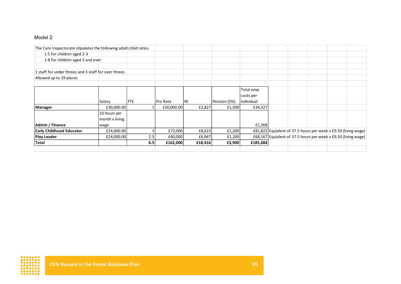# Model 2

| The Care Inspectorate stipulates the following adult: child ratios |                |            |            |         |              |            |  |                                                                |                                                                |
|--------------------------------------------------------------------|----------------|------------|------------|---------|--------------|------------|--|----------------------------------------------------------------|----------------------------------------------------------------|
| 1:5 for children aged 2-3                                          |                |            |            |         |              |            |  |                                                                |                                                                |
| 1:8 for children aged 3 and over                                   |                |            |            |         |              |            |  |                                                                |                                                                |
|                                                                    |                |            |            |         |              |            |  |                                                                |                                                                |
| 1 staff for under threes and 3 staff for over threes               |                |            |            |         |              |            |  |                                                                |                                                                |
| Allowed up to 29 places                                            |                |            |            |         |              |            |  |                                                                |                                                                |
|                                                                    |                |            |            |         |              |            |  |                                                                |                                                                |
|                                                                    |                |            |            |         |              | Total emp  |  |                                                                |                                                                |
|                                                                    |                |            |            |         |              | costs per  |  |                                                                |                                                                |
|                                                                    | Salary         | <b>FTE</b> | Pro Rata   | INI.    | Pension (5%) | individual |  |                                                                |                                                                |
| Manager                                                            | £30,000.00     |            | £30,000.00 | £2,827  | £1,500       | £34,327    |  |                                                                |                                                                |
|                                                                    | 10 hours per   |            |            |         |              |            |  |                                                                |                                                                |
|                                                                    | month x living |            |            |         |              |            |  |                                                                |                                                                |
| Admin / Finance                                                    | wage           |            |            |         |              | £1,368     |  |                                                                |                                                                |
| <b>Early Childhood Educator</b>                                    | £24,000.00     |            | £72,000    | £8,623  | £1,200       |            |  |                                                                | £81,823 Equialent of 37.5 hours per week x £9.50 (living wage) |
| <b>Play Leader</b>                                                 | £24,000.00     | 2.5        | £60,000    | £6,967  | £1,200       |            |  | £68,167 Equialent of 37.5 hours per week x £9.50 (living wage) |                                                                |
|                                                                    |                |            |            |         |              |            |  |                                                                |                                                                |
| Total                                                              |                | 6.5        | £162,000   | £18,416 | £3,900       | £185,684   |  |                                                                |                                                                |

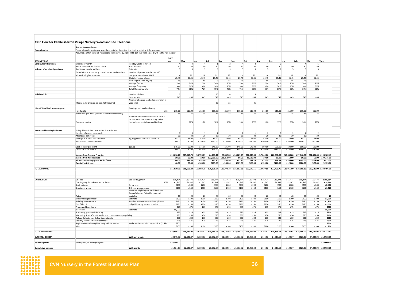|                                                   | <b>Assumptions and notes</b>                                                                                       |                                          |                     |                       |                     |                         |                         |                     |                          |                          |                          |                          |                          |                          |                                      |
|---------------------------------------------------|--------------------------------------------------------------------------------------------------------------------|------------------------------------------|---------------------|-----------------------|---------------------|-------------------------|-------------------------|---------------------|--------------------------|--------------------------|--------------------------|--------------------------|--------------------------|--------------------------|--------------------------------------|
| <b>General notes</b>                              | Financial model starts post woodland build so there is a functioning building fit for purpose                      |                                          |                     |                       |                     |                         |                         |                     |                          |                          |                          |                          |                          |                          |                                      |
|                                                   | Assumption that covid-19 restrictions will be over by April 2022, but this will be dealt with in the risk register |                                          |                     |                       |                     |                         |                         |                     |                          |                          |                          |                          |                          |                          |                                      |
|                                                   |                                                                                                                    |                                          | 2022                |                       |                     |                         |                         |                     |                          |                          |                          |                          |                          |                          |                                      |
| <b>ASSUMPTIONS</b>                                |                                                                                                                    |                                          | Apr                 | May                   | Jun                 | Jul                     | Aug                     | Ser                 | Oct                      | Nov                      | Dec                      | Jan                      | Feb                      | Mar                      | Total                                |
| <b>Core Nursery Provision</b>                     | Weeks per month                                                                                                    | Holiday weeks removed                    | $\overline{4}$      | $\overline{a}$        | $\overline{a}$      | $\overline{1}$          | $\mathcal{P}$           | $\overline{4}$      | $\overline{a}$           | 4                        | 5                        | $\Delta$                 | $\overline{a}$           | 5                        |                                      |
|                                                   | Hours per week for funded places                                                                                   | 8am till 6pm                             | 50                  | 50                    | 50                  | 50                      | 50                      | 50                  | 50                       | 50                       | 50                       | 50                       | 50                       | 50                       |                                      |
| Includes after school provision                   | Additional purchased hours                                                                                         | Estimate                                 | -5                  | 5                     | -5                  | -5                      | 5                       | 5                   | 5                        | 5                        | 5                        | -5                       | -5                       | 5                        |                                      |
|                                                   | Growth from 16 currently - mx of indoor and outdoor                                                                | Number of places (can be more if         |                     |                       |                     |                         |                         |                     |                          |                          |                          |                          |                          |                          |                                      |
|                                                   | allows for higher numbers                                                                                          | occupancy rate is not 100%               | 29                  | 29                    | 29                  | 29                      | 29                      | 29                  | 29                       | 29                       | 29                       | 29                       | 29                       | 29                       |                                      |
|                                                   |                                                                                                                    | Eligible/Funded places                   | £5.45               | £5.45                 | £5.45               | £5.45                   | £5.45                   | £5.45               | £5.45                    | £5.45                    | £5.45                    | £5.45                    | £5.45                    | £5.45                    |                                      |
|                                                   |                                                                                                                    | Non-eligible / Fee paying                | f5<br>70%           | f5<br>70%             | f5<br>70%           | f5<br>70%               | f5<br>70%               | £5<br>70%           | f5<br>70%                | f5<br>70%                | £5<br>70%                | f5<br>70%                | f5<br>70%                | f5<br>70%                |                                      |
|                                                   |                                                                                                                    | Average funded<br>Average fee paving     | 30%                 | 30%                   | 30%                 | 30%                     | 30%                     | 30%                 | 30%                      | 30%                      | 30%                      | 30%                      | 30%                      | 30%                      |                                      |
|                                                   |                                                                                                                    | Total Occupancy rate                     | 70%                 | 70%                   | 75%                 | 75%                     | 75%                     | 75%                 | 80%                      | 80%                      | 80%                      | 80%                      | 80%                      | 80%                      |                                      |
|                                                   |                                                                                                                    |                                          |                     |                       |                     |                         |                         |                     |                          |                          |                          |                          |                          |                          |                                      |
| <b>Holiday Clubs</b>                              |                                                                                                                    | Number of days                           |                     |                       |                     | 20                      | 10                      |                     | $\overline{\phantom{0}}$ |                          |                          |                          |                          |                          |                                      |
|                                                   |                                                                                                                    | Cost per day                             | £45                 | £45                   | £45                 | f45                     | f45                     | £45                 | £45                      | £45                      | £45                      | £45                      | £45                      | £45                      |                                      |
|                                                   |                                                                                                                    | Number of places (no Easter provision in |                     |                       |                     |                         |                         |                     |                          |                          |                          |                          |                          |                          |                                      |
|                                                   | Mostly older children so less staff required                                                                       | vear onel                                |                     |                       |                     | 25                      | 25                      |                     | 25                       |                          |                          |                          |                          |                          |                                      |
|                                                   |                                                                                                                    |                                          |                     |                       |                     |                         |                         |                     |                          |                          |                          |                          |                          |                          |                                      |
| <b>Hire of Woodland Nursery space</b>             |                                                                                                                    | Evenings and weekends only               |                     |                       |                     |                         |                         |                     |                          |                          |                          |                          |                          |                          |                                      |
|                                                   | Hourly rate                                                                                                        | £15                                      | £15.00              | £15.00                | £15.00              | £15.00                  | £15.00                  | £15.00              | £15.00                   | £15.00                   | £15.00                   | £15.00                   | £15.00                   | £15.00                   |                                      |
|                                                   | Max hours per week (7pm to 10pm then weekends)                                                                     | Based on affordable community rates      | 35                  | 35                    | 35                  | 35                      | 35                      | 35                  | 35                       | 35                       | 35                       | 35                       | 35                       | 35                       |                                      |
|                                                   |                                                                                                                    | on the basis that there is likely to be  |                     |                       |                     |                         |                         |                     |                          |                          |                          |                          |                          |                          |                                      |
|                                                   | Occupancy rates                                                                                                    | limited commercial demand (at least      |                     | 10%                   | 10%                 | 10%                     | 10%                     | 10%                 | 15%                      | 15%                      | 15%                      | 20%                      | 20%                      | 20%                      |                                      |
|                                                   |                                                                                                                    |                                          |                     |                       |                     |                         |                         |                     |                          |                          |                          |                          |                          |                          |                                      |
|                                                   |                                                                                                                    |                                          |                     |                       |                     |                         |                         |                     |                          |                          |                          |                          |                          |                          |                                      |
| <b>Events and learning initiatives</b>            | Things like edible nature walks, bat walks etc<br>Number of events per month                                       |                                          | $\Omega$            | $\Omega$              | $\mathbf{1}$        | $\overline{1}$          | $\mathbf{1}$            | $\mathbf{1}$        | $\overline{1}$           | $\overline{\phantom{a}}$ | $\overline{\phantom{a}}$ | $\overline{\phantom{a}}$ | $\overline{\phantom{a}}$ | $\overline{\phantom{a}}$ |                                      |
|                                                   | Attendees per event                                                                                                |                                          | 30                  | 30                    | 30                  | 30                      | 30                      | 30                  | 30 <sup>1</sup>          | 30                       | 30                       | 30 <sup>1</sup>          | 30                       | 30                       |                                      |
|                                                   | Average donation per attendee                                                                                      | Eg, suggested donation per ticket        | £5.00               | £5.00                 | £5.00               | £5.00                   | £5.00                   | £5.00               | £5.00                    | £5.00                    | £5.00                    | £5.00                    | £5.00                    | £5.00                    |                                      |
|                                                   | Monthly Income from events                                                                                         |                                          | £0.00               | £0.00                 | £150.00             | £150.00                 | £150.00                 | £150.00             | £150.00                  | £300.00                  | £300.00                  | £300.00                  | £300.00                  | £300.00                  |                                      |
|                                                   |                                                                                                                    |                                          |                     |                       |                     |                         |                         |                     |                          |                          |                          |                          |                          |                          |                                      |
|                                                   | Cost of tutor per event                                                                                            | £75.00                                   | £75.00              | £0.00                 | £45.00              | £45.00                  | £45.00                  | £45.00              | £45.00                   | £90.00                   | £90.00                   | £90.00                   | £90.00                   | £90.00                   |                                      |
|                                                   | Direct costs for events                                                                                            |                                          | £0.00               | £0.00                 | £45.00              | £45.00                  | £45.00                  | £45.00              | £45.00                   | £180.00                  | £180.00                  | £180.00                  | £180.00                  | £180.00                  |                                      |
|                                                   |                                                                                                                    |                                          |                     |                       |                     |                         |                         |                     |                          |                          |                          |                          |                          |                          |                                      |
|                                                   | <b>Income from Nursery Provision</b><br>Income from holiday clubs                                                  |                                          | £15,610.70<br>£0.00 | £15,610.70<br>£0.00   | £16,725.75<br>£0.00 | £4,181.44<br>£22,500.00 | £8,362.88<br>£11,250.00 | £16,725.75<br>£0.00 | £17,840.80<br>£5,625.00  | £17,840.80<br>£0.00      | £22,301.00<br>£0.00      | £17,840.80<br>£0.00      | £17,840.80<br>£0.00      | £0.00                    | £22,301.00 £193,182.41<br>£39,375.00 |
|                                                   | Hire of community spaces Profit / Loss                                                                             |                                          | £0.00               | £52.50                | £52.50              | £52.50                  | £52.50                  | £52.50              | £78.75                   | £78.75                   | £78.75                   | £105.00                  | £105.00                  | £105.00                  | £813.75                              |
|                                                   | <b>Events Profit / Loss</b>                                                                                        |                                          | £0.00               | £0.00                 | £105.00             | £105.00                 | £105.00                 | £105.00             | £105.00                  | £120.00                  | £120.00                  | £120.00                  | £120.00                  | £120.00                  | £1.125.00                            |
|                                                   |                                                                                                                    |                                          |                     |                       |                     |                         |                         |                     |                          |                          |                          |                          |                          |                          |                                      |
| <b>TOTAL INCOME</b>                               |                                                                                                                    |                                          |                     | £15,610.70 £15,663.20 | £16,883.25          | £26,838.94              | £19,770.38              | £16,883.25          | £23,649.55 £18,039.55    |                          | £22,499.75               | £18,065.80               | £18,065.80               |                          | £22,526.00 £234,496.16               |
|                                                   |                                                                                                                    |                                          |                     |                       |                     |                         |                         |                     |                          |                          |                          |                          |                          |                          |                                      |
| <b>EXPENDITURE</b>                                | Salaries                                                                                                           | See staffing sheet                       | £15,474             | £15,474               | £15,474             | £15,474                 | £15.474                 | £15.474             | £15.474                  | £15.474                  | £15.474                  | £15,474                  | £15.474                  | £15.474                  | £185,684                             |
|                                                   | Contingency for sickness and holidays                                                                              | 10%                                      | £1,547              | £1,547                | £1,547              | £1,547                  | £1,547                  | £1,547              | £1,547                   | £1,547                   | £1,547                   | £1,547                   | £1,547                   | £1,547                   | £18,568                              |
|                                                   | <b>Staff training</b>                                                                                              | As current                               | £200                | £200                  | £200                | £200                    | £200                    | £200                | £200                     | £200                     | £200                     | £200                     | £200                     | £200                     | £2,400                               |
|                                                   | Snacks per week                                                                                                    | £40 per week average                     | £160                | £160                  | £160                | £160                    | £160                    | £160                | £160                     | £160                     | £160                     | £160                     | £160                     | £160                     | £1,920                               |
|                                                   |                                                                                                                    | Assumes eligibility for Small Business   |                     |                       |                     |                         |                         |                     |                          |                          |                          |                          |                          |                          |                                      |
|                                                   |                                                                                                                    | Bonus Scheme. Rateable value not         |                     |                       |                     |                         |                         |                     |                          |                          |                          |                          |                          |                          |                                      |
|                                                   | Rates<br>Water rates (estimate)                                                                                    | available<br>Estimate                    | £0<br>£100          | £0<br>£100            | £0<br>£100          | £0<br>£100              | £0<br>£100              | £0<br>£100          | £0<br>£100               | £0<br>£100               | £0<br>£100               | £0<br>£100               | £0<br>£100               | £0<br>£100               | £O<br>£1,200                         |
|                                                   | <b>Building maintenance</b>                                                                                        | Total of maintenance and compliance      | £150                | £150                  | £150                | £150                    | £150                    | £150                | £150                     | £150                     | £150                     | £150                     | £150                     | £150                     | £1.800                               |
|                                                   | Gas / Electric                                                                                                     | Off grid heating system possible         | £250                | £250                  | £250                | £250                    | £250                    | £250                | £250                     | £250                     | £250                     | £250                     | £250                     | £250                     | £3,000                               |
|                                                   | Phone and broadband                                                                                                |                                          | £75                 | £75                   | £75                 | £75                     | £75                     | £75                 | £75                      | £75                      | £75                      | £75                      | £75                      | £75                      | £900                                 |
|                                                   | Insurance                                                                                                          | Estimate                                 | £5,000              |                       |                     |                         |                         |                     |                          |                          |                          |                          |                          |                          | £5.000                               |
|                                                   | Stationery, postage & Printing                                                                                     |                                          | £25                 | £25                   | £25                 | £25                     | £25                     | £25                 | £25                      | £25                      | £25                      | £25                      | £25                      | £25                      | £300                                 |
|                                                   | Marketing (use of social media and core marketing capability                                                       |                                          | £50                 | £50                   | £50                 | £50                     | £50                     | £50                 | £50                      | £50                      | £50                      | £50                      | £50                      | £50                      | £600                                 |
|                                                   | Refuse Collection and cleaning materials                                                                           |                                          | £30                 | £30                   | £30                 | £30                     | £30                     | £30                 | £30                      | £30                      | £30                      | £30                      | £30                      | £30                      | £360                                 |
|                                                   | Security alarm and other contracts                                                                                 |                                          | £25                 | £25                   | £25                 | £25                     | £25                     | £25                 | £25                      | £25                      | £25                      | £25                      | £25                      | £25                      | £300                                 |
|                                                   | Registration and compliance (eg PRS for events)<br>Misc                                                            | And Care Commission registration (£165)  | £500<br>£100        | £100                  | £100                | £100                    | £100                    | £100                | £100                     | f100                     | £100                     | £100                     | £100                     | £100                     | £500<br>£1.200                       |
|                                                   |                                                                                                                    |                                          |                     |                       |                     |                         |                         |                     |                          |                          |                          |                          |                          |                          |                                      |
| <b>TOTAL OVERHEADS</b>                            |                                                                                                                    |                                          | £23,686.07          | £18,186.07            | £18,186.07          | £18,186.07              | £18,186.07              | £18,186.07          | £18,186.07 £18,186.07    |                          | £18,186.07               | £18,186.07               | £18,186.07               | £18,186.07 £223,732.81   |                                      |
|                                                   |                                                                                                                    | With out grants                          | $-£8,075.37$        | $-E2,522.87$          | $-£1,302.82$        | £8,652.87               | £1,584.31               | $-E1,302.82$        | £5,463.48                | $-£146.52$               | £4,313.68                | $-£120.27$               | $-f120.27$               |                          | £4,339.93 £10,763.35                 |
|                                                   |                                                                                                                    |                                          |                     |                       |                     |                         |                         |                     |                          |                          |                          |                          |                          |                          |                                      |
|                                                   |                                                                                                                    |                                          |                     |                       |                     |                         |                         |                     |                          |                          |                          |                          |                          |                          |                                      |
| <b>SURPLUS / DEFICIT</b><br><b>Revenue grants</b> | Small grant for workign capital                                                                                    |                                          | £10,000.00          |                       |                     |                         |                         |                     |                          |                          |                          |                          |                          |                          | £10,000.00                           |

**CVN Nursery in the Forest Business Plan 36 CVN Nursery in the Forest Business Plan**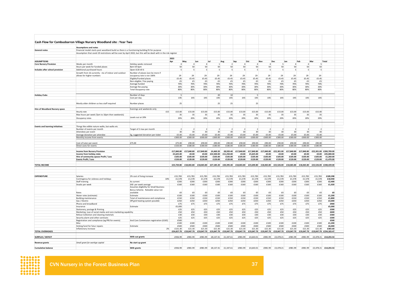|                                        | Cash Flow for Cambusbarron Village Nursery Woodland site: Year Two                                                 |                                                      |                       |                          |                |                          |                          |                 |                |                          |                          |                          |                |                |                        |  |
|----------------------------------------|--------------------------------------------------------------------------------------------------------------------|------------------------------------------------------|-----------------------|--------------------------|----------------|--------------------------|--------------------------|-----------------|----------------|--------------------------|--------------------------|--------------------------|----------------|----------------|------------------------|--|
|                                        | <b>Assumptions and notes</b>                                                                                       |                                                      |                       |                          |                |                          |                          |                 |                |                          |                          |                          |                |                |                        |  |
| <b>General notes</b>                   | Financial model starts post woodland build so there is a functioning building fit for purpose                      |                                                      |                       |                          |                |                          |                          |                 |                |                          |                          |                          |                |                |                        |  |
|                                        | Assumption that covid-19 restrictions will be over by April 2022, but this will be dealt with in the risk register |                                                      |                       |                          |                |                          |                          |                 |                |                          |                          |                          |                |                |                        |  |
|                                        |                                                                                                                    |                                                      | 2023                  |                          |                |                          |                          |                 |                |                          |                          |                          |                |                |                        |  |
| <b>ASSUMPTIONS</b>                     |                                                                                                                    |                                                      | Apr                   | May                      | Jun            | Jul                      | Aug                      | Sep             | Oct            | Nov                      | Dec                      | Jan                      | Feb            | Mar            | <b>Total</b>           |  |
| <b>Core Nursery Provision</b>          | Weeks per month                                                                                                    | Holiday weeks removed                                | $\Delta$              | $\overline{a}$           | $\Delta$       | 1                        | $\overline{2}$           | 4               | $\overline{a}$ | $\Delta$                 | 5 <sup>1</sup>           | $\Delta$                 | $\Delta$       |                |                        |  |
|                                        | Hours per week for funded places                                                                                   | 8am till 6pm                                         | 50                    | 50                       | 50             | 50                       | 50                       | 50              | 50             | 50                       | 50                       | 50                       | 50             | 50             |                        |  |
| Includes after school provision        | Additional purchased hours                                                                                         | Open 8.30 till 6                                     | -5                    | -5                       | 5              | 5                        | -5                       | $5\phantom{.0}$ | 5              | -51                      | 5                        | 5                        | 5              |                |                        |  |
|                                        | Growth from 16 currently - mx of indoor and outdoor                                                                | Number of places (can be more if                     |                       |                          |                |                          |                          |                 |                |                          |                          |                          |                |                |                        |  |
|                                        | allows for higher numbers                                                                                          | occupancy rate is not 100%<br>Eligible/Funded places | 29<br>£5.45           | 29<br>£5.45              | 29<br>£5.45    | 29<br>£5.45              | 29<br>£5.45              | 29<br>£5.45     | 29<br>£5.45    | 29<br>£5.45              | 29<br>£5.45              | 29<br>£5.45              | 29<br>£5.45    | 29<br>£5.45    |                        |  |
|                                        |                                                                                                                    | Non-eligible / Fee paying                            | £5                    | £5                       | £5             | £5                       | £5                       | £5              | £5             | £5                       | £5                       | £5                       | £5             | £5             |                        |  |
|                                        |                                                                                                                    | Average funded                                       | 70%                   | 70%                      | 70%            | 70%                      | 70%                      | 70%             | 70%            | 70%                      | 70%                      | 70%                      | 70%            | 70%            |                        |  |
|                                        |                                                                                                                    | Average fee paying                                   | 30%                   | 30%                      | 30%            | 30%                      | 30%                      | 30%             | 30%            | 30%                      | 30%                      | 30%                      | 30%            | 30%            |                        |  |
|                                        |                                                                                                                    | Total Occupancy rate                                 | 80%                   | 80%                      | 80%            | 80%                      | 80%                      | 80%             | 80%            | 80%                      | 80%                      | 80%                      | 80%            | 80%            |                        |  |
|                                        |                                                                                                                    |                                                      |                       |                          |                |                          |                          |                 |                |                          |                          |                          |                |                |                        |  |
| <b>Holiday Clubs</b>                   |                                                                                                                    | Number of days<br>Cost per day                       | $\overline{5}$<br>£45 | £45                      | £45            | 20<br>£45                | 10<br>£45                | £45             | 5<br>£45       | £45                      | £45                      | £45                      | £45            | £45            |                        |  |
|                                        |                                                                                                                    |                                                      |                       |                          |                |                          |                          |                 |                |                          |                          |                          |                |                |                        |  |
|                                        | Mostly older children so less staff required                                                                       | Number places                                        | 25                    |                          |                | 25                       | 25                       |                 | 25             |                          |                          |                          |                |                |                        |  |
|                                        |                                                                                                                    |                                                      |                       |                          |                |                          |                          |                 |                |                          |                          |                          |                |                |                        |  |
| <b>Hire of Woodland Nursery space</b>  |                                                                                                                    | Evenings and weekends only                           |                       |                          |                |                          |                          |                 |                |                          |                          |                          |                |                |                        |  |
|                                        | Hourly rate<br>Max hours per week (7pm to 10pm then weekends)                                                      | £15                                                  | £15.00<br>35          | £15.00<br>35             | £15.00<br>35   | £15.00<br>35             | £15.00<br>35             | £15.00<br>35    | £15.00<br>35   | £15.00<br>35             | £15.00<br>35             | £15.00<br>35             | £15.00<br>35   | £15.00<br>35   |                        |  |
|                                        | Occupancy rates                                                                                                    | Levels out at 20%                                    | 20%                   | 20%                      | 20%            | 20%                      | 20%                      | 20%             | 20%            | 20%                      | 20%                      | 20%                      | 20%            | 20%            |                        |  |
|                                        |                                                                                                                    |                                                      |                       |                          |                |                          |                          |                 |                |                          |                          |                          |                |                |                        |  |
|                                        |                                                                                                                    |                                                      |                       |                          |                |                          |                          |                 |                |                          |                          |                          |                |                |                        |  |
| <b>Events and learning initiatives</b> | Things like edible nature walks, bat walks etc                                                                     |                                                      |                       |                          |                |                          |                          |                 |                |                          |                          |                          |                |                |                        |  |
|                                        | Number of events per month                                                                                         | Target of 2 max per month                            | $\overline{2}$        | $\overline{\phantom{a}}$ | $\overline{z}$ | $\overline{\phantom{a}}$ | $\overline{\phantom{a}}$ | $\overline{2}$  | $\overline{2}$ | $\overline{2}$           | $\overline{\phantom{a}}$ | $\overline{\phantom{a}}$ | $\overline{2}$ | $\overline{2}$ |                        |  |
|                                        | Attendees per event<br>Average donation per attendee                                                               | Eg, suggested donation per ticket                    | 30<br>£5.00           | 30<br>£5.00              | 30<br>£5.00    | 30<br>£5.00              | 30<br>£5.00              | 30<br>£5.00     | 30<br>£5.00    | 30 <sup>2</sup><br>£5.00 | 30<br>£5.00              | 30<br>£5.00              | 30<br>£5.00    | 30<br>£5.00    |                        |  |
|                                        | Monthly Income from events                                                                                         |                                                      | £300.00               | £300.00                  | £300.00        | £300.00                  | £300.00                  | £300.00         | £300.00        | £300.00                  | £300.00                  | £300.00                  | £300.00        | £300.00        |                        |  |
|                                        |                                                                                                                    |                                                      |                       |                          |                |                          |                          |                 |                |                          |                          |                          |                |                |                        |  |
|                                        | Cost of tutor per event                                                                                            | £75.00                                               | £75.00                | £90.00                   | £90.00         | £90.00                   | £90.00                   | £90.00          | £90.00         | £90.00                   | £90.00                   | £90.00                   | £90.00         | £90.00         |                        |  |
|                                        | Direct costs for events                                                                                            |                                                      | £150.00               | £180.00                  | £180.00        | £180.00                  | £180.00                  | £180.00         | £180.00        | £180.00                  | £180.00                  | £180.00                  | £180.00        | £180.00        |                        |  |
|                                        | <b>Income from Nursery Provision</b>                                                                               |                                                      | £17,840.80            | £17,840.80               | £17,840.80     | £4,460.20                | £8,920.40                | £17,840.80      | £17,840.80     | £17,840.80               | £22,301.00               | £17,840.80               | £17,840.80     |                | £22,301.00 £200,709.00 |  |
|                                        | Income from holiday clubs                                                                                          |                                                      | £5,625.00             | £0.00                    | £0.00          | £22,500.00               | £11,250.00               | £0.00           | £5,625.00      | £0.00                    | £0.00                    | £0.00                    | £0.00          | £0.00          | £45,000.00             |  |
|                                        | Hire of community spaces Profit / Loss                                                                             |                                                      | £105.00               | £105.00                  | £105.00        | £105.00                  | £105.00                  | £105.00         | £105.00        | £105.00                  | £105.00                  | £105.00                  | £105.00        | £105.00        | £1,260.00              |  |
|                                        | Events Profit / Loss                                                                                               |                                                      | £150.00               | £120.00                  | £120.00        | £120.00                  | £120.00                  | £120.00         | £120.00        | £120.00                  | £120.00                  | £120.00                  | £120.00        | £120.00        | £1,470.00              |  |
|                                        |                                                                                                                    |                                                      |                       |                          |                |                          |                          |                 |                |                          |                          |                          |                |                |                        |  |
| <b>TOTAL INCOME</b>                    |                                                                                                                    |                                                      | £23,720.80            | £18,065.80               | £18,065.80     | £27,185.20               | £20,395.40               | £18,065.80      | £23,690.80     | £18,065.80               | £22,526.00               | £18,065.80               | £18,065.80     |                | £22,526.00 £248,439.00 |  |
|                                        |                                                                                                                    |                                                      |                       |                          |                |                          |                          |                 |                |                          |                          |                          |                |                |                        |  |
|                                        |                                                                                                                    |                                                      |                       |                          |                |                          |                          |                 |                |                          |                          |                          |                |                |                        |  |
| <b>EXPENDITURE</b>                     | Salaries                                                                                                           | 2% cost of living increase                           | £15,783               | £15,783                  | £15,783        | £15,783                  | £15,783                  | £15,783         | £15,783        | £15,783                  | £15,783                  | £15,783                  | £15,783        | £15,783        | £189,398               |  |
|                                        | Contingency for sickness and holidays                                                                              | 10%                                                  | £1,578                | £1,578                   | £1,578         | £1,578                   | £1,578                   | £1,578          | £1,578         | £1,578                   | £1,578                   | £1,578                   | £1,578         | £1,578         | £18,940                |  |
|                                        | Staff training                                                                                                     | As current<br>£40 per week average                   | £200<br>£160          | £200<br>£160             | £200<br>£160   | £200                     | £200<br>£160             | £200            | £200           | £200<br>£160             | £200<br>£160             | £200<br>£160             | £200<br>£160   | £200<br>£160   | £2,400<br>£1,920       |  |
|                                        | Snacks per week                                                                                                    | Assumes eligibility for Small Business               |                       |                          |                | £160                     |                          | £160            | £160           |                          |                          |                          |                |                |                        |  |
|                                        |                                                                                                                    | Bonus Scheme. Rateable value not                     |                       |                          |                |                          |                          |                 |                |                          |                          |                          |                |                |                        |  |
|                                        | Rates                                                                                                              | available                                            | £0                    | £0                       | £0             | f(                       | f(                       | f(              | f0             | f0                       | f0                       | f0                       | f(             | f(             | £0                     |  |
|                                        | Water rates (estimate)                                                                                             | Estimate                                             | £100                  | £100                     | £100           | £100                     | £100                     | £100            | £100           | £100                     | £100                     | £100                     | £100           | £100           | £1,200                 |  |
|                                        | <b>Building maintenance</b><br>Gas / Electric                                                                      | Total of maintenance and compliance                  | £150<br>£250          | £150<br>£250             | £150<br>£250   | £150<br>£250             | £150<br>£250             | £150<br>£250    | £150<br>£250   | £150<br>£250             | £150<br>£250             | £150<br>£250             | £150<br>£250   | £150<br>£250   | £1,800<br>£3.000       |  |
|                                        | Phone and broadband                                                                                                | Off grid heating system possible                     | <b>f75</b>            | £75                      | £75            | £75                      | £75                      | £75             | £75            | £75                      | £75                      | £75                      | £75            | £75            | £900                   |  |
|                                        | Insurance                                                                                                          | Estimate                                             | £5,000                |                          |                |                          |                          |                 |                |                          |                          |                          |                |                | £5,000                 |  |
|                                        | Stationery, postage & Printing                                                                                     |                                                      | £25                   | £25                      | £25            | £25                      | £25                      | £25             | £25            | £25                      | £25                      | £25                      | £25            | £25            | £300                   |  |
|                                        | Marketing (use of social media and core marketing capability                                                       |                                                      | £50                   | £50                      | £50            | £50                      | £50                      | £50             | £50            | £50                      | £50                      | £50                      | £50            | £50            | £600                   |  |
|                                        | Refuse Collection and cleaning materials                                                                           |                                                      | £30                   | £30                      | £30            | £30                      | £30                      | £30             | £30            | £30                      | £30                      | £30                      | £30            | £30            | £360                   |  |
|                                        | Security alarm and other contracts<br>Registration and compliance (eg PRS for events)                              | And Care Commission registration (£165)              | £25<br>£500           | £25                      | £25            | £25                      | £25                      | £25             | £25            | £25                      | £25                      | £25                      | £25            | £25            | £300<br>£500           |  |
|                                        | Misc                                                                                                               |                                                      | £100                  | £100                     | £100           | £100                     | £100                     | £100            | £100           | £100                     | £100                     | £100                     | £100           | £100           | £1.200                 |  |
|                                        | Sinking fund for futur repairs                                                                                     | Estimate                                             | £500                  | £500                     | £500           | £500                     | £500                     | £500            | £500           | £500                     | £500                     | £500                     | £500           | £500           | £6,000                 |  |
|                                        | Inflationary increase                                                                                              | 2%                                                   | £131.30               | £21.30                   | £21.30         | £21.30                   | £21.30                   | £21.30          | £21.30         | £21.30                   | £21.30                   | £21.30                   | £21.30         | £21.30         | £365.60                |  |
| <b>TOTAL OVERHEADS</b>                 |                                                                                                                    |                                                      | £24,657.79            | £19,047.79               | £19,047.79     | £19,047.79               | £19,047.79               | £19,047.79      | £19,047.79     | £19,047.79               | £19,047.79               | £19,047.79               | £19,047.79     |                | £19,047.79 £234,183.47 |  |
| <b>SURPLUS / DEFICIT</b>               |                                                                                                                    | With out grants                                      | $-£936.99$            | $-£981.99$               | $-£981.99$     | £8,137.41                | £1,347.61                | $-£981.99$      | £4,643.01      | $-£981.99$               | £3,478.21                | $-£981.99$               | $-£981.99$     |                | £3,478.21 £14,255.53   |  |
|                                        |                                                                                                                    |                                                      |                       |                          |                |                          |                          |                 |                |                          |                          |                          |                |                |                        |  |
| <b>Revenue grants</b>                  | Small grant for workign capital                                                                                    | No start up grant                                    |                       |                          |                |                          |                          |                 |                |                          |                          |                          |                |                |                        |  |
|                                        |                                                                                                                    |                                                      | $-£936.99$            | $-£981.99$               | $-6981.99$     | £8.137.41                | £1,347.61                | £981.99         | £4.643.01      | $-6981.99$               | £3,478.21                | $-6981.99$               |                | £3,478.21      | £14,255.53             |  |
| <b>Cumulative balance</b>              |                                                                                                                    | With grants                                          |                       |                          |                |                          |                          |                 |                |                          |                          |                          | $-£981.99$     |                |                        |  |

**CVN Nursery in the Forest Business Plan 37** (2008) 2014 12:30 (3008) 37